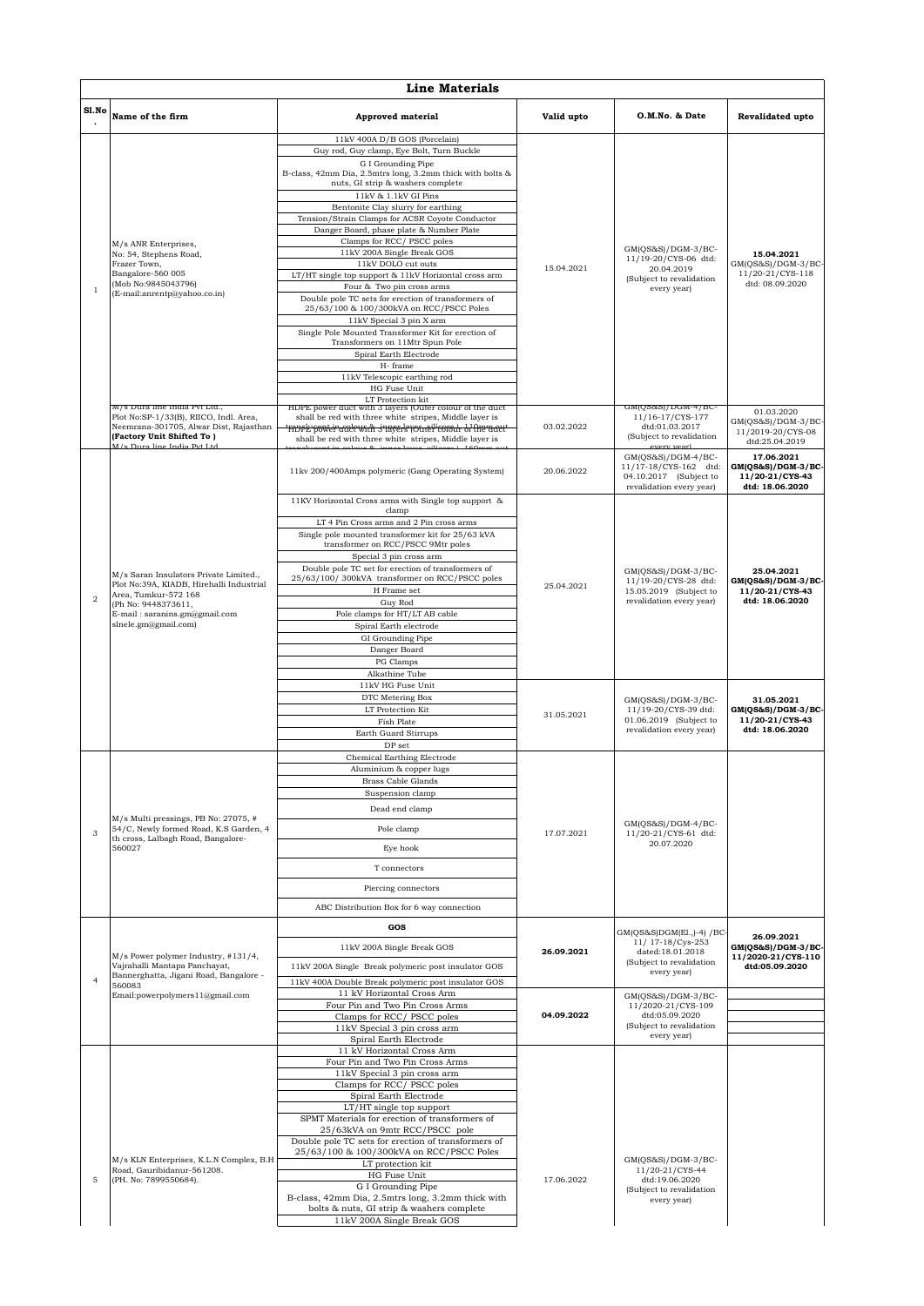|                | <b>Line Materials</b>                                                                                                                                                                      |                                                                                                                                                                                                                                                                                                                                                                                                                                                                                                                                                                                                                                                                                                                                                                                                                                                      |                          |                                                                                                                                                                                                           |                                                                          |  |  |
|----------------|--------------------------------------------------------------------------------------------------------------------------------------------------------------------------------------------|------------------------------------------------------------------------------------------------------------------------------------------------------------------------------------------------------------------------------------------------------------------------------------------------------------------------------------------------------------------------------------------------------------------------------------------------------------------------------------------------------------------------------------------------------------------------------------------------------------------------------------------------------------------------------------------------------------------------------------------------------------------------------------------------------------------------------------------------------|--------------------------|-----------------------------------------------------------------------------------------------------------------------------------------------------------------------------------------------------------|--------------------------------------------------------------------------|--|--|
| Sl.No          | Name of the firm                                                                                                                                                                           | <b>Approved material</b>                                                                                                                                                                                                                                                                                                                                                                                                                                                                                                                                                                                                                                                                                                                                                                                                                             | Valid upto               | O.M.No. & Date                                                                                                                                                                                            | <b>Revalidated upto</b>                                                  |  |  |
| $\overline{1}$ | M/s ANR Enterprises,<br>No: 54, Stephens Road,<br>Frazer Town,<br>Bangalore-560 005<br>(Mob No:9845043796)<br>(E-mail:anrentp@yahoo.co.in)                                                 | 11kV 400A D/B GOS (Porcelain)<br>Guy rod, Guy clamp, Eye Bolt, Turn Buckle<br>G I Grounding Pipe<br>B-class, 42mm Dia, 2.5mtrs long, 3.2mm thick with bolts &<br>nuts, GI strip & washers complete<br>11kV & 1.1kV GI Pins<br>Bentonite Clay slurry for earthing<br>Tension/Strain Clamps for ACSR Coyote Conductor<br>Danger Board, phase plate & Number Plate<br>Clamps for RCC/ PSCC poles<br>11kV 200A Single Break GOS<br>11kV DOLO cut outs<br>LT/HT single top support & 11kV Horizontal cross arm<br>Four & Two pin cross arms<br>Double pole TC sets for erection of transformers of<br>25/63/100 & 100/300kVA on RCC/PSCC Poles<br>11kV Special 3 pin X arm<br>Single Pole Mounted Transformer Kit for erection of<br>Transformers on 11Mtr Spun Pole<br>Spiral Earth Electrode<br>H-frame<br>11kV Telescopic earthing rod<br>HG Fuse Unit | 15.04.2021               | $GM(QS&S)/DGM-3/BC-$<br>11/19-20/CYS-06 dtd:<br>20.04.2019<br>(Subject to revalidation<br>every year)                                                                                                     | 15.04.2021<br>GM(QS&S)/DGM-3/BC-<br>11/20-21/CYS-118<br>dtd: 08.09.2020  |  |  |
|                | M/s Dura line India Pvt Ltd.,<br>Plot No:SP-1/33(B), RIICO, Indl. Area,<br>Neemrana-301705, Alwar Dist, Rajasthan<br>(Factory Unit Shifted To)<br>M/s Dura line India Pvt Ltd              | LT Protection kit<br>HDPE power quet with 3 layers (Outer colour of the quet<br>shall be red with three white stripes, Middle layer is<br><del>nvek poweir aalewrâr snagerk joureilicom h-h Aremaett</del><br>shall be red with three white stripes, Middle layer is                                                                                                                                                                                                                                                                                                                                                                                                                                                                                                                                                                                 | 03.02.2022               | GMIOS&SI/DGM-4/BC-<br>11/16-17/CYS-177<br>dtd:01.03.2017<br>(Subject to revalidation<br>every year)                                                                                                       | 01.03.2020<br>$GM(QS&S)/DGM-3/BC$<br>11/2019-20/CYS-08<br>dtd:25.04.2019 |  |  |
|                |                                                                                                                                                                                            | 11kv 200/400Amps polymeric (Gang Operating System)                                                                                                                                                                                                                                                                                                                                                                                                                                                                                                                                                                                                                                                                                                                                                                                                   | 20.06.2022               | $GM(QS&S)/DGM-4/BC-$<br>11/17-18/CYS-162 dtd:<br>04.10.2017 (Subject to<br>revalidation every year)                                                                                                       | 17.06.2021<br>GM(QS&S)/DGM-3/BC-<br>11/20-21/CYS-43<br>dtd: 18.06.2020   |  |  |
| $\mathfrak{D}$ | M/s Saran Insulators Private Limited.,<br>Plot No:39A, KIADB, Hirehalli Industrial<br>Area, Tumkur-572 168<br>(Ph No: 9448373611,<br>E-mail: saranins.gm@gmail.com<br>slnele.gm@gmail.com) | 11KV Horizontal Cross arms with Single top support &<br>clamp<br>LT 4 Pin Cross arms and 2 Pin cross arms<br>Single pole mounted transformer kit for 25/63 kVA<br>transformer on RCC/PSCC 9Mtr poles<br>Special 3 pin cross arm<br>Double pole TC set for erection of transformers of<br>25/63/100/300kVA transformer on RCC/PSCC poles<br>H Frame set<br>Guy Rod<br>Pole clamps for HT/LT AB cable<br>Spiral Earth electrode<br>GI Grounding Pipe<br>Danger Board<br>PG Clamps<br>Alkathine Tube                                                                                                                                                                                                                                                                                                                                                    | 25.04.2021               | GM(QS&S)/DGM-3/BC-<br>11/19-20/CYS-28 dtd:<br>15.05.2019 (Subject to<br>revalidation every year)                                                                                                          | 25.04.2021<br>GM(QS&S)/DGM-3/BC-<br>11/20-21/CYS-43<br>dtd: 18.06.2020   |  |  |
|                |                                                                                                                                                                                            | 11kV HG Fuse Unit<br>DTC Metering Box<br>LT Protection Kit<br><b>Fish Plate</b><br>Earth Guard Stirrups<br>DP set                                                                                                                                                                                                                                                                                                                                                                                                                                                                                                                                                                                                                                                                                                                                    | 31.05.2021               | GM(QS&S)/DGM-3/BC-<br>11/19-20/CYS-39 dtd:<br>01.06.2019 (Subject to<br>revalidation every year)                                                                                                          | 31.05.2021<br>GM(QS&S)/DGM-3/BC-<br>11/20-21/CYS-43<br>dtd: 18.06.2020   |  |  |
| 3              | M/s Multi pressings, PB No: 27075, #<br>54/C. Newly formed Road, K.S Garden, 4<br>th cross, Lalbagh Road, Bangalore-<br>560027                                                             | Chemical Earthing Electrode<br>Aluminium & copper lugs<br><b>Brass Cable Glands</b><br>Suspension clamp<br>Dead end clamp<br>Pole clamp<br>Eye hook<br>T connectors<br>Piercing connectors<br>ABC Distribution Box for 6 way connection                                                                                                                                                                                                                                                                                                                                                                                                                                                                                                                                                                                                              | 17.07.2021               | GM(QS&S)/DGM-4/BC-<br>11/20-21/CYS-61 dtd:<br>20.07.2020                                                                                                                                                  |                                                                          |  |  |
| $\overline{4}$ | M/s Power polymer Industry, #131/4,<br>Vajrahalli Mantapa Panchayat,<br>Bannerghatta, Jigani Road, Bangalore -<br>560083<br>Email:powerpolymers11@gmail.com                                | GOS<br>11kV 200A Single Break GOS<br>11kV 200A Single Break polymeric post insulator GOS<br>11kV 400A Double Break polymeric post insulator GOS<br>11 kV Horizontal Cross Arm<br>Four Pin and Two Pin Cross Arms<br>Clamps for RCC/PSCC poles<br>11kV Special 3 pin cross arm                                                                                                                                                                                                                                                                                                                                                                                                                                                                                                                                                                        | 26.09.2021<br>04.09.2022 | GM(QS&S)DGM(El.,)-4) /BC-<br>11/ 17-18/Cys-253<br>dated:18.01.2018<br>(Subject to revalidation<br>every year)<br>$GM(QS&S)/DGM-3/BC-$<br>11/2020-21/CYS-109<br>dtd:05.09.2020<br>(Subject to revalidation | 26.09.2021<br>GM(QS&S)/DGM-3/BC-<br>11/2020-21/CYS-110<br>dtd:05.09.2020 |  |  |
| $\mathbf 5$    | M/s KLN Enterprises, K.L.N Complex, B.H<br>Road, Gauribidanur-561208.<br>(PH. No: 7899550684).                                                                                             | Spiral Earth Electrode<br>11 kV Horizontal Cross Arm<br>Four Pin and Two Pin Cross Arms<br>11kV Special 3 pin cross arm<br>Clamps for RCC/PSCC poles<br>Spiral Earth Electrode<br>$LT/HT$ single top support<br>SPMT Materials for erection of transformers of<br>25/63kVA on 9mtr RCC/PSCC pole<br>Double pole TC sets for erection of transformers of<br>25/63/100 & 100/300kVA on RCC/PSCC Poles<br>LT protection kit<br>HG Fuse Unit<br>G I Grounding Pipe<br>B-class, 42mm Dia, 2.5mtrs long, 3.2mm thick with<br>bolts & nuts, GI strip & washers complete<br>11kV 200A Single Break GOS                                                                                                                                                                                                                                                       | 17.06.2022               | every year)<br>$GM(QS&S)/DGM-3/BC-$<br>11/20-21/CYS-44<br>dtd:19.06.2020<br>(Subject to revalidation<br>every year)                                                                                       |                                                                          |  |  |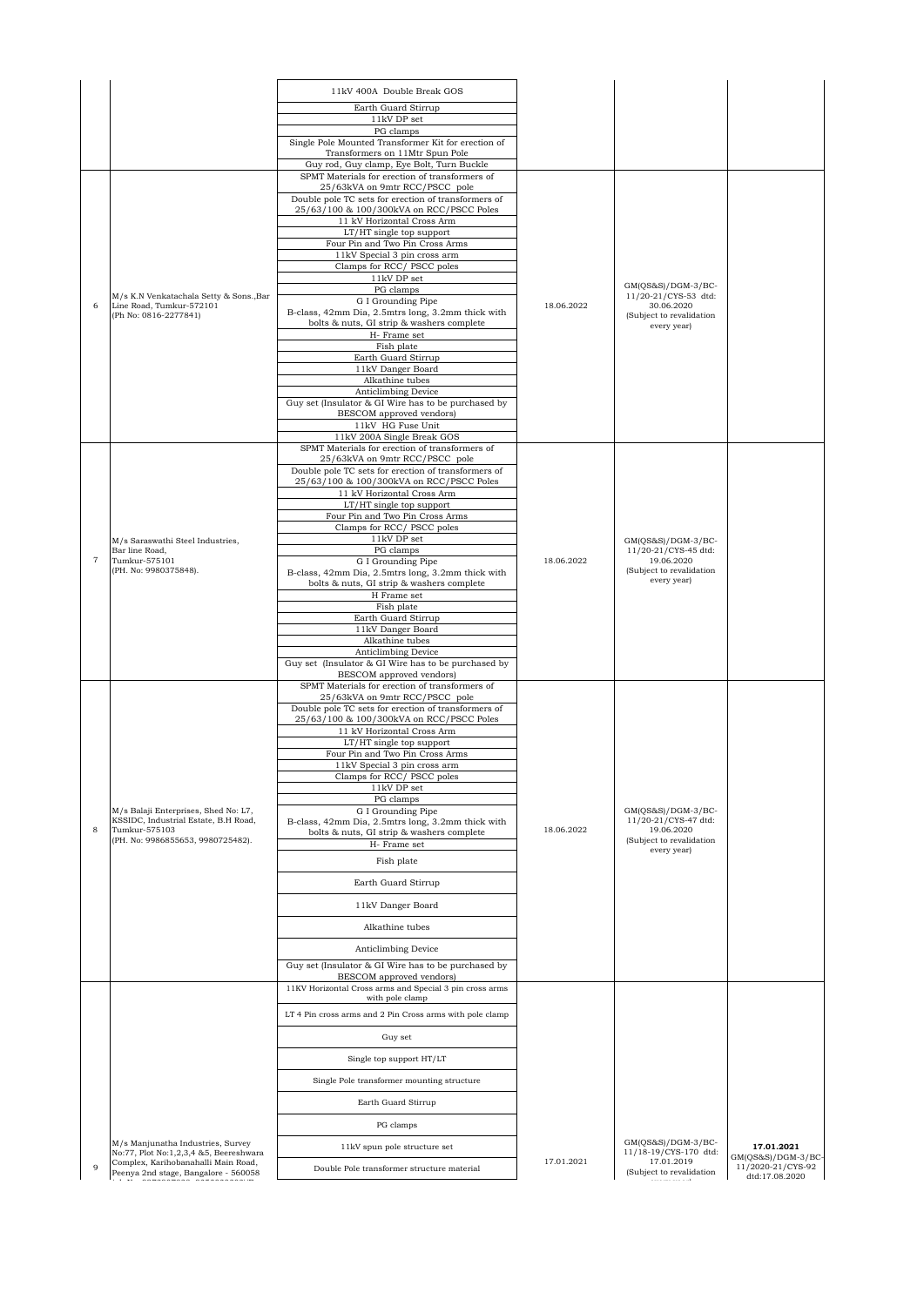|                |                                                                              | 11kV 400A Double Break GOS                                                                     |            |                                             |                                     |
|----------------|------------------------------------------------------------------------------|------------------------------------------------------------------------------------------------|------------|---------------------------------------------|-------------------------------------|
|                |                                                                              | Earth Guard Stirrup                                                                            |            |                                             |                                     |
|                |                                                                              | $11kV$ DP set<br>PG clamps                                                                     |            |                                             |                                     |
|                |                                                                              | Single Pole Mounted Transformer Kit for erection of                                            |            |                                             |                                     |
|                |                                                                              | Transformers on 11Mtr Spun Pole<br>Guy rod, Guy clamp, Eye Bolt, Turn Buckle                   |            |                                             |                                     |
|                |                                                                              | SPMT Materials for erection of transformers of                                                 |            |                                             |                                     |
|                |                                                                              | 25/63kVA on 9mtr RCC/PSCC pole<br>Double pole TC sets for erection of transformers of          |            |                                             |                                     |
|                |                                                                              | 25/63/100 & 100/300kVA on RCC/PSCC Poles<br>11 kV Horizontal Cross Arm                         |            |                                             |                                     |
|                |                                                                              | LT/HT single top support                                                                       |            |                                             |                                     |
|                |                                                                              | Four Pin and Two Pin Cross Arms<br>11kV Special 3 pin cross arm                                |            |                                             |                                     |
|                |                                                                              | Clamps for RCC/PSCC poles                                                                      |            |                                             |                                     |
|                |                                                                              | 11kV DP set<br>PG clamps                                                                       |            | GM(QS&S)/DGM-3/BC-                          |                                     |
| 6              | M/s K.N Venkatachala Setty & Sons., Bar<br>Line Road, Tumkur-572101          | G I Grounding Pipe                                                                             | 18.06.2022 | 11/20-21/CYS-53 dtd:<br>30.06.2020          |                                     |
|                | (Ph No: 0816-2277841)                                                        | B-class, 42mm Dia, 2.5mtrs long, 3.2mm thick with<br>bolts & nuts, GI strip & washers complete |            | (Subject to revalidation<br>every year)     |                                     |
|                |                                                                              | H- Frame set<br>Fish plate                                                                     |            |                                             |                                     |
|                |                                                                              | Earth Guard Stirrup                                                                            |            |                                             |                                     |
|                |                                                                              | 11kV Danger Board<br>Alkathine tubes                                                           |            |                                             |                                     |
|                |                                                                              | Anticlimbing Device                                                                            |            |                                             |                                     |
|                |                                                                              | Guy set (Insulator & GI Wire has to be purchased by<br>BESCOM approved vendors)                |            |                                             |                                     |
|                |                                                                              | 11kV HG Fuse Unit<br>11kV 200A Single Break GOS                                                |            |                                             |                                     |
|                |                                                                              | SPMT Materials for erection of transformers of                                                 |            |                                             |                                     |
|                |                                                                              | 25/63kVA on 9mtr RCC/PSCC pole<br>Double pole TC sets for erection of transformers of          |            |                                             |                                     |
|                |                                                                              | 25/63/100 & 100/300kVA on RCC/PSCC Poles                                                       |            |                                             |                                     |
|                |                                                                              | 11 kV Horizontal Cross Arm<br>LT/HT single top support                                         |            |                                             |                                     |
|                |                                                                              | Four Pin and Two Pin Cross Arms<br>Clamps for RCC/PSCC poles                                   |            |                                             |                                     |
|                | M/s Saraswathi Steel Industries,                                             | $11\mathrm{kV}$ DP set                                                                         |            | GM(QS&S)/DGM-3/BC-                          |                                     |
| $\overline{7}$ | Bar line Road,<br>Tumkur-575101                                              | PG clamps<br>G I Grounding Pipe                                                                | 18.06.2022 | 11/20-21/CYS-45 dtd:<br>19.06.2020          |                                     |
|                | (PH. No: 9980375848).                                                        | B-class, 42mm Dia, 2.5mtrs long, 3.2mm thick with                                              |            | (Subject to revalidation<br>every year)     |                                     |
|                |                                                                              | bolts & nuts, GI strip & washers complete<br>H Frame set                                       |            |                                             |                                     |
|                |                                                                              | Fish plate<br>Earth Guard Stirrup                                                              |            |                                             |                                     |
|                |                                                                              | 11kV Danger Board                                                                              |            |                                             |                                     |
|                |                                                                              | Alkathine tubes<br>Anticlimbing Device                                                         |            |                                             |                                     |
|                |                                                                              | Guy set (Insulator & GI Wire has to be purchased by                                            |            |                                             |                                     |
|                |                                                                              | BESCOM approved vendors)<br>SPMT Materials for erection of transformers of                     |            |                                             |                                     |
|                |                                                                              | 25/63kVA on 9mtr RCC/PSCC pole<br>Double pole TC sets for erection of transformers of          |            |                                             |                                     |
|                |                                                                              | 25/63/100 & 100/300kVA on RCC/PSCC Poles                                                       |            |                                             |                                     |
|                |                                                                              | 11 kV Horizontal Cross Arm<br>LT/HT single top support                                         |            |                                             |                                     |
|                |                                                                              | Four Pin and Two Pin Cross Arms<br>11kV Special 3 pin cross arm                                |            |                                             |                                     |
|                |                                                                              | Clamps for RCC/ PSCC poles                                                                     |            |                                             |                                     |
|                |                                                                              | 11kV DP set<br>PG clamps                                                                       |            |                                             |                                     |
|                | M/s Balaji Enterprises, Shed No: L7,<br>KSSIDC, Industrial Estate, B.H Road, | G I Grounding Pipe                                                                             |            | GM(QS&S)/DGM-3/BC-<br>11/20-21/CYS-47 dtd:  |                                     |
| 8              | Tumkur-575103                                                                | B-class, 42mm Dia, 2.5mtrs long, 3.2mm thick with<br>bolts & nuts, GI strip & washers complete | 18.06.2022 | 19.06.2020                                  |                                     |
|                | (PH. No: 9986855653, 9980725482).                                            | H- Frame set                                                                                   |            | (Subject to revalidation<br>every year)     |                                     |
|                |                                                                              | Fish plate                                                                                     |            |                                             |                                     |
|                |                                                                              | Earth Guard Stirrup                                                                            |            |                                             |                                     |
|                |                                                                              | 11kV Danger Board                                                                              |            |                                             |                                     |
|                |                                                                              | Alkathine tubes                                                                                |            |                                             |                                     |
|                |                                                                              | Anticlimbing Device                                                                            |            |                                             |                                     |
|                |                                                                              | Guy set (Insulator & GI Wire has to be purchased by<br>BESCOM approved vendors)                |            |                                             |                                     |
|                |                                                                              | 11KV Horizontal Cross arms and Special 3 pin cross arms<br>with pole clamp                     |            |                                             |                                     |
|                |                                                                              | LT 4 Pin cross arms and 2 Pin Cross arms with pole clamp                                       |            |                                             |                                     |
|                |                                                                              | Guy set                                                                                        |            |                                             |                                     |
|                |                                                                              | Single top support HT/LT                                                                       |            |                                             |                                     |
|                |                                                                              | Single Pole transformer mounting structure                                                     |            |                                             |                                     |
|                |                                                                              | Earth Guard Stirrup                                                                            |            |                                             |                                     |
|                |                                                                              | PG clamps                                                                                      |            |                                             |                                     |
|                | M/s Manjunatha Industries, Survey<br>No:77, Plot No:1,2,3,4 &5, Beereshwara  | 11kV spun pole structure set                                                                   |            | GM(QS&S)/DGM-3/BC-<br>11/18-19/CYS-170 dtd: | 17.01.2021<br>GM(QS&S)/DGM-3/BC-    |
| 9              | Complex, Karihobanahalli Main Road,<br>Peenya 2nd stage, Bangalore - 560058  | Double Pole transformer structure material                                                     | 17.01.2021 | 17.01.2019<br>(Subject to revalidation      | 11/2020-21/CYS-92<br>dtd:17.08.2020 |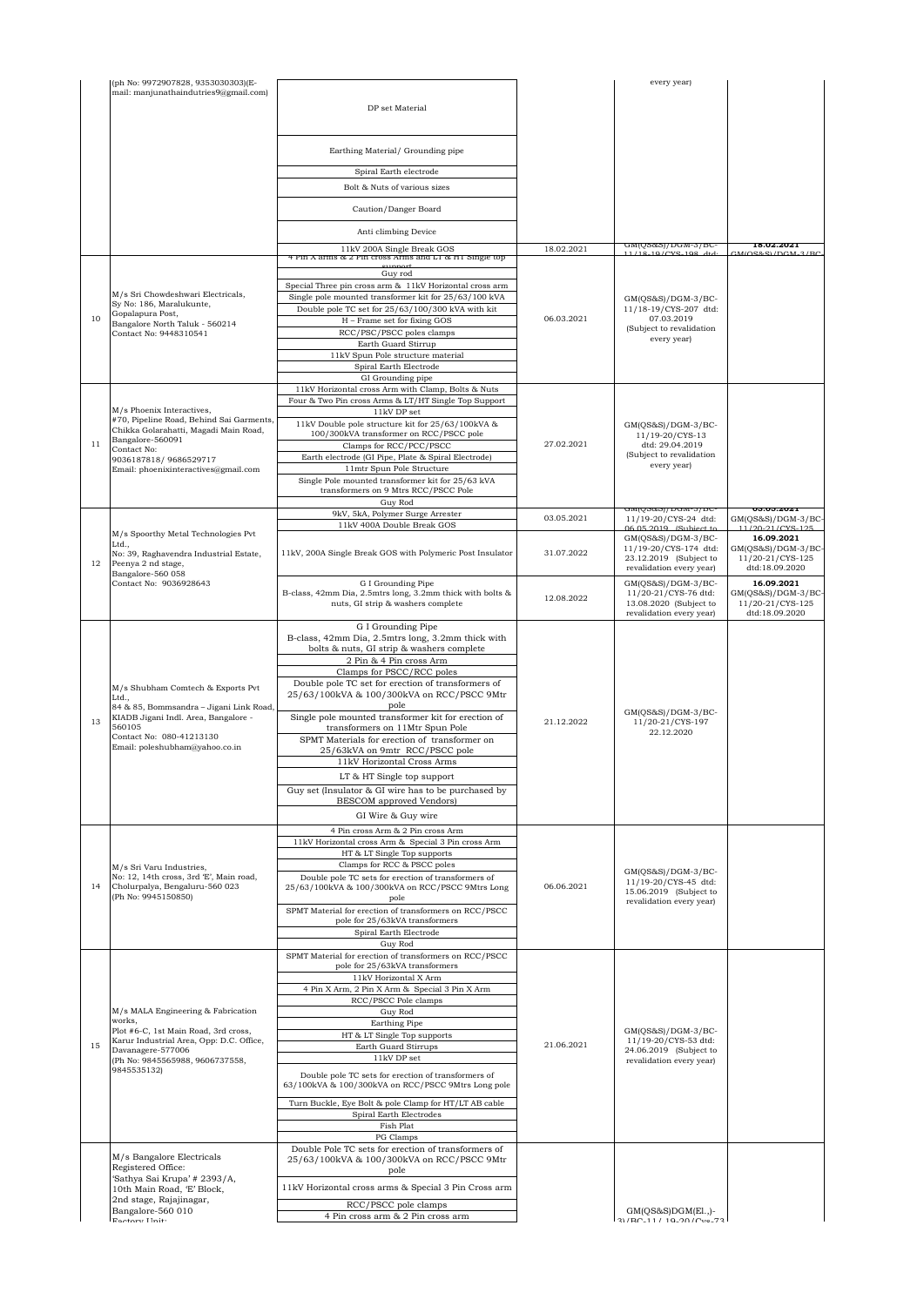|    | (ph No: 9972907828, 9353030303)(E-                                                                                                            |                                                                                                                                                                                                                                                           |            | every year)                                                                                            |                                                                          |
|----|-----------------------------------------------------------------------------------------------------------------------------------------------|-----------------------------------------------------------------------------------------------------------------------------------------------------------------------------------------------------------------------------------------------------------|------------|--------------------------------------------------------------------------------------------------------|--------------------------------------------------------------------------|
|    | mail: manjunathaindutries9@gmail.com)                                                                                                         | DP set Material                                                                                                                                                                                                                                           |            |                                                                                                        |                                                                          |
|    |                                                                                                                                               | Earthing Material/ Grounding pipe                                                                                                                                                                                                                         |            |                                                                                                        |                                                                          |
|    |                                                                                                                                               | Spiral Earth electrode<br>Bolt & Nuts of various sizes                                                                                                                                                                                                    |            |                                                                                                        |                                                                          |
|    |                                                                                                                                               | Caution/Danger Board                                                                                                                                                                                                                                      |            |                                                                                                        |                                                                          |
|    |                                                                                                                                               | Anti climbing Device                                                                                                                                                                                                                                      |            |                                                                                                        |                                                                          |
|    |                                                                                                                                               | 11kV 200A Single Break GOS<br>+ Pin A arms α z Pin cross Arms and Li α H i Single top                                                                                                                                                                     | 18.02.2021 | GMIG20221/DGM-3/BC                                                                                     | 18.02.2021                                                               |
|    |                                                                                                                                               | Guy rod                                                                                                                                                                                                                                                   |            |                                                                                                        |                                                                          |
| 10 | M/s Sri Chowdeshwari Electricals,<br>Sy No: 186, Maralukunte,<br>Gopalapura Post,<br>Bangalore North Taluk - 560214<br>Contact No: 9448310541 | Special Three pin cross arm & 11kV Horizontal cross arm<br>Single pole mounted transformer kit for 25/63/100 kVA<br>Double pole TC set for 25/63/100/300 kVA with kit<br>H - Frame set for fixing GOS<br>RCC/PSC/PSCC poles clamps<br>Earth Guard Stirrup | 06.03.2021 | $GM(QS&S)/DGM-3/BC-$<br>11/18-19/CYS-207 dtd:<br>07.03.2019<br>(Subject to revalidation<br>every year) |                                                                          |
|    |                                                                                                                                               | 11kV Spun Pole structure material<br>Spiral Earth Electrode                                                                                                                                                                                               |            |                                                                                                        |                                                                          |
|    |                                                                                                                                               | GI Grounding pipe<br>11kV Horizontal cross Arm with Clamp, Bolts & Nuts<br>Four & Two Pin cross Arms & LT/HT Single Top Support                                                                                                                           |            |                                                                                                        |                                                                          |
|    | M/s Phoenix Interactives,<br>#70, Pipeline Road, Behind Sai Garments,<br>Chikka Golarahatti, Magadi Main Road,                                | 11kV DP set<br>11kV Double pole structure kit for 25/63/100kVA &<br>100/300kVA transformer on RCC/PSCC pole                                                                                                                                               |            | GM(QS&S)/DGM-3/BC-<br>11/19-20/CYS-13                                                                  |                                                                          |
| 11 | Bangalore-560091<br>Contact No:<br>9036187818/9686529717                                                                                      | Clamps for RCC/PCC/PSCC<br>Earth electrode (GI Pipe, Plate & Spiral Electrode)                                                                                                                                                                            | 27.02.2021 | dtd: 29.04.2019<br>(Subject to revalidation                                                            |                                                                          |
|    | Email: phoenixinteractives@gmail.com                                                                                                          | 11mtr Spun Pole Structure<br>Single Pole mounted transformer kit for 25/63 kVA                                                                                                                                                                            |            | every year)                                                                                            |                                                                          |
|    |                                                                                                                                               | transformers on 9 Mtrs RCC/PSCC Pole<br>Guy Rod                                                                                                                                                                                                           |            |                                                                                                        |                                                                          |
|    |                                                                                                                                               | 9kV, 5kA, Polymer Surge Arrester<br>11kV 400A Double Break GOS                                                                                                                                                                                            | 03.05.2021 | GMI(QS&SJ/DGM-3/BC-<br>11/19-20/CYS-24 dtd:<br>$06.05.2019$ $(S11)2$                                   | U3.U5.ZUZ1<br>GM(QS&S)/DGM-3/BC<br>11/20-21/CVS-125                      |
| 12 | M/s Spoorthy Metal Technologies Pvt<br>Ltd.,<br>No: 39, Raghavendra Industrial Estate,<br>Peenya 2 nd stage,                                  | 11kV, 200A Single Break GOS with Polymeric Post Insulator                                                                                                                                                                                                 | 31.07.2022 | GM(QS&S)/DGM-3/BC-<br>11/19-20/CYS-174 dtd:<br>23.12.2019 (Subject to<br>revalidation every year)      | 16.09.2021<br>$GM(QS&S)/DGM-3/BC-$<br>11/20-21/CYS-125<br>dtd:18.09.2020 |
|    | Bangalore-560 058<br>Contact No: 9036928643                                                                                                   | G I Grounding Pipe<br>B-class, 42mm Dia, 2.5mtrs long, 3.2mm thick with bolts &<br>nuts, GI strip & washers complete                                                                                                                                      | 12.08.2022 | $GM(QS&S)/DGM-3/BC-$<br>11/20-21/CYS-76 dtd:<br>13.08.2020 (Subject to<br>revalidation every year)     | 16.09.2021<br>GM(QS&S)/DGM-3/BC-<br>11/20-21/CYS-125<br>dtd:18.09.2020   |
|    |                                                                                                                                               | G I Grounding Pipe<br>B-class, 42mm Dia, 2.5mtrs long, 3.2mm thick with<br>bolts & nuts, GI strip & washers complete                                                                                                                                      |            |                                                                                                        |                                                                          |
|    |                                                                                                                                               | 2 Pin & 4 Pin cross Arm<br>Clamps for PSCC/RCC poles                                                                                                                                                                                                      |            |                                                                                                        |                                                                          |
|    | M/s Shubham Comtech & Exports Pvt<br>Ltd.,                                                                                                    | Double pole TC set for erection of transformers of<br>25/63/100kVA & 100/300kVA on RCC/PSCC 9Mtr<br>pole                                                                                                                                                  |            |                                                                                                        |                                                                          |
| 13 | 84 & 85, Bommsandra - Jigani Link Road,<br>KIADB Jigani Indl. Area, Bangalore -<br>560105<br>Contact No: 080-41213130                         | Single pole mounted transformer kit for erection of<br>transformers on 11Mtr Spun Pole<br>SPMT Materials for erection of transformer on                                                                                                                   | 21.12.2022 | $GM(QS&S)/DGM-3/BC-$<br>11/20-21/CYS-197<br>22.12.2020                                                 |                                                                          |
|    | Email: poleshubham@yahoo.co.in                                                                                                                | 25/63kVA on 9mtr RCC/PSCC pole<br>11kV Horizontal Cross Arms                                                                                                                                                                                              |            |                                                                                                        |                                                                          |
|    |                                                                                                                                               | LT & HT Single top support<br>Guy set (Insulator & GI wire has to be purchased by<br><b>BESCOM</b> approved Vendors)                                                                                                                                      |            |                                                                                                        |                                                                          |
|    |                                                                                                                                               | GI Wire & Guy wire                                                                                                                                                                                                                                        |            |                                                                                                        |                                                                          |
|    |                                                                                                                                               | 4 Pin cross Arm & 2 Pin cross Arm<br>11kV Horizontal cross Arm & Special 3 Pin cross Arm<br>HT & LT Single Top supports                                                                                                                                   |            |                                                                                                        |                                                                          |
| 14 | M/s Sri Varu Industries.<br>No: 12, 14th cross, 3rd E', Main road,<br>Cholurpalya, Bengaluru-560 023<br>(Ph No: 9945150850)                   | Clamps for RCC & PSCC poles<br>Double pole TC sets for erection of transformers of<br>25/63/100kVA & 100/300kVA on RCC/PSCC 9Mtrs Long<br>pole                                                                                                            | 06.06.2021 | $GM(QS&S)/DGM-3/BC-$<br>11/19-20/CYS-45 dtd:<br>15.06.2019 (Subject to                                 |                                                                          |
|    |                                                                                                                                               | SPMT Material for erection of transformers on RCC/PSCC<br>pole for 25/63kVA transformers<br>Spiral Earth Electrode                                                                                                                                        |            | revalidation every year)                                                                               |                                                                          |
|    |                                                                                                                                               | Guy Rod<br>SPMT Material for erection of transformers on RCC/PSCC                                                                                                                                                                                         |            |                                                                                                        |                                                                          |
|    |                                                                                                                                               | pole for 25/63kVA transformers<br>11kV Horizontal X Arm                                                                                                                                                                                                   |            |                                                                                                        |                                                                          |
|    |                                                                                                                                               | 4 Pin X Arm, 2 Pin X Arm & Special 3 Pin X Arm<br>RCC/PSCC Pole clamps                                                                                                                                                                                    |            |                                                                                                        |                                                                          |
|    | M/s MALA Engineering & Fabrication<br>works,<br>Plot #6-C, 1st Main Road, 3rd cross,                                                          | Guy Rod<br>Earthing Pipe                                                                                                                                                                                                                                  |            | $GM(QS&S)/DGM-3/BC-$                                                                                   |                                                                          |
| 15 | Karur Industrial Area, Opp: D.C. Office,<br>Davanagere-577006<br>(Ph No: 9845565988, 9606737558,                                              | HT & LT Single Top supports<br>Earth Guard Stirrups<br>11kV DP set                                                                                                                                                                                        | 21.06.2021 | 11/19-20/CYS-53 dtd:<br>24.06.2019 (Subject to<br>revalidation every year)                             |                                                                          |
|    | 9845535132)                                                                                                                                   | Double pole TC sets for erection of transformers of<br>63/100kVA & 100/300kVA on RCC/PSCC 9Mtrs Long pole                                                                                                                                                 |            |                                                                                                        |                                                                          |
|    |                                                                                                                                               | Turn Buckle, Eye Bolt & pole Clamp for HT/LT AB cable<br>Spiral Earth Electrodes<br>Fish Plat                                                                                                                                                             |            |                                                                                                        |                                                                          |
|    |                                                                                                                                               | PG Clamps<br>Double Pole TC sets for erection of transformers of                                                                                                                                                                                          |            |                                                                                                        |                                                                          |
|    | M/s Bangalore Electricals<br>Registered Office:<br>'Sathya Sai Krupa' # 2393/A,                                                               | 25/63/100kVA & 100/300kVA on RCC/PSCC 9Mtr<br>pole                                                                                                                                                                                                        |            |                                                                                                        |                                                                          |
|    | 10th Main Road, 'E' Block,<br>2nd stage, Rajajinagar,                                                                                         | 11kV Horizontal cross arms & Special 3 Pin Cross arm<br>RCC/PSCC pole clamps                                                                                                                                                                              |            |                                                                                                        |                                                                          |
|    | Bangalore-560 010<br>Fortom Hnit                                                                                                              | 4 Pin cross arm & 2 Pin cross arm                                                                                                                                                                                                                         |            | $GM(QS&S)DGM(E1, )-$<br>31/RC-11/10-201/Cvs-73                                                         |                                                                          |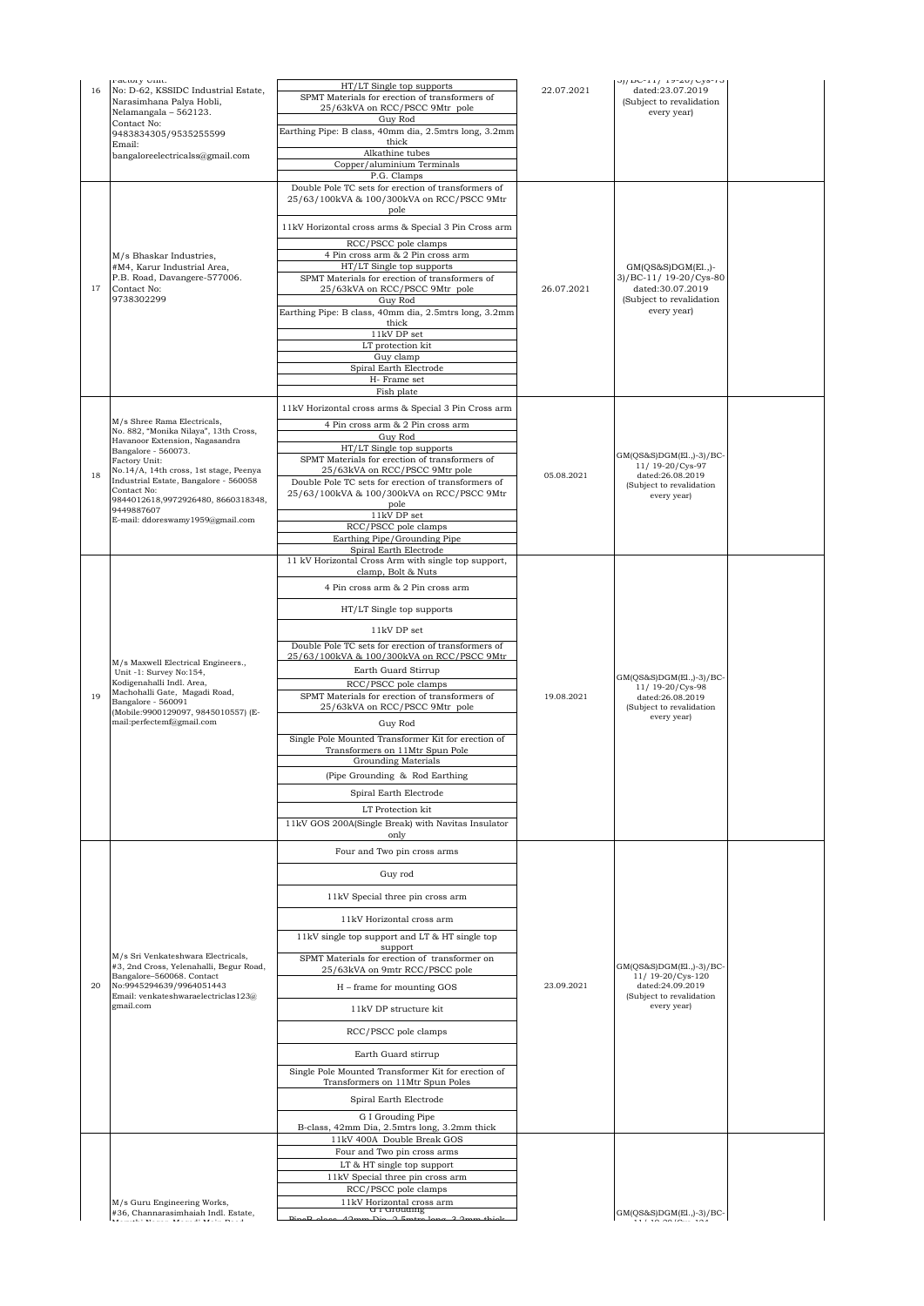| 16 | ractory onnt.<br>No: D-62, KSSIDC Industrial Estate,                          | HT/LT Single top supports                                                               | 22.07.2021 | $01/DU^{-11}$ / 19-40/ $Uy$ 8-10<br>dated:23.07.2019 |  |
|----|-------------------------------------------------------------------------------|-----------------------------------------------------------------------------------------|------------|------------------------------------------------------|--|
|    | Narasimhana Palya Hobli,                                                      | SPMT Materials for erection of transformers of                                          |            | (Subject to revalidation                             |  |
|    | Nelamangala - 562123.<br>Contact No:                                          | 25/63kVA on RCC/PSCC 9Mtr pole<br>Guy Rod                                               |            | every year)                                          |  |
|    | 9483834305/9535255599                                                         | Earthing Pipe: B class, 40mm dia, 2.5mtrs long, 3.2mm                                   |            |                                                      |  |
|    | Email:<br>bangaloreelectricalss@gmail.com                                     | thick<br>Alkathine tubes                                                                |            |                                                      |  |
|    |                                                                               | Copper/aluminium Terminals                                                              |            |                                                      |  |
|    |                                                                               | P.G. Clamps<br>Double Pole TC sets for erection of transformers of                      |            |                                                      |  |
|    |                                                                               | 25/63/100kVA & 100/300kVA on RCC/PSCC 9Mtr<br>pole                                      |            |                                                      |  |
|    |                                                                               | 11kV Horizontal cross arms & Special 3 Pin Cross arm                                    |            |                                                      |  |
|    |                                                                               | RCC/PSCC pole clamps                                                                    |            |                                                      |  |
|    | M/s Bhaskar Industries.<br>#M4, Karur Industrial Area,                        | 4 Pin cross arm & 2 Pin cross arm<br>HT/LT Single top supports                          |            | $GM(QS&S)DGM(E1)-$                                   |  |
|    | P.B. Road, Davangere-577006.                                                  | SPMT Materials for erection of transformers of                                          |            | 3)/BC-11/ 19-20/Cys-80                               |  |
| 17 | Contact No:<br>9738302299                                                     | 25/63kVA on RCC/PSCC 9Mtr pole<br>Guy Rod                                               | 26.07.2021 | dated:30.07.2019<br>(Subject to revalidation         |  |
|    |                                                                               | Earthing Pipe: B class, 40mm dia, 2.5mtrs long, 3.2mm                                   |            | every year)                                          |  |
|    |                                                                               | thick<br>$11\mathrm{kV}$ DP set                                                         |            |                                                      |  |
|    |                                                                               | LT protection kit                                                                       |            |                                                      |  |
|    |                                                                               | Guy clamp<br>Spiral Earth Electrode                                                     |            |                                                      |  |
|    |                                                                               | H- Frame set                                                                            |            |                                                      |  |
|    |                                                                               | Fish plate                                                                              |            |                                                      |  |
|    | M/s Shree Rama Electricals,                                                   | 11kV Horizontal cross arms & Special 3 Pin Cross arm                                    |            |                                                      |  |
|    | No. 882, "Monika Nilaya", 13th Cross,                                         | 4 Pin cross arm & 2 Pin cross arm<br>Guy Rod                                            |            |                                                      |  |
|    | Havanoor Extension, Nagasandra<br>Bangalore - 560073.                         | HT/LT Single top supports                                                               |            |                                                      |  |
|    | Factory Unit:<br>No.14/A, 14th cross, 1st stage, Peenya                       | SPMT Materials for erection of transformers of<br>25/63kVA on RCC/PSCC 9Mtr pole        |            | $GM(QS&S)DGM(E1.,-3)/BC-$<br>11/19-20/Cys-97         |  |
| 18 | Industrial Estate, Bangalore - 560058                                         | Double Pole TC sets for erection of transformers of                                     | 05.08.2021 | dated:26.08.2019<br>(Subject to revalidation         |  |
|    | Contact No:<br>9844012618,9972926480, 8660318348,                             | 25/63/100kVA & 100/300kVA on RCC/PSCC 9Mtr<br>pole                                      |            | every year)                                          |  |
|    | 9449887607<br>E-mail: ddoreswamy1959@gmail.com                                | $11\mathrm{kV}$ DP set                                                                  |            |                                                      |  |
|    |                                                                               | RCC/PSCC pole clamps                                                                    |            |                                                      |  |
|    |                                                                               | Earthing Pipe/Grounding Pipe<br>Spiral Earth Electrode                                  |            |                                                      |  |
|    |                                                                               | 11 kV Horizontal Cross Arm with single top support,<br>clamp, Bolt & Nuts               |            |                                                      |  |
|    |                                                                               | 4 Pin cross arm & 2 Pin cross arm                                                       |            |                                                      |  |
|    |                                                                               | HT/LT Single top supports                                                               |            |                                                      |  |
|    |                                                                               | 11kV DP set                                                                             |            |                                                      |  |
|    |                                                                               | Double Pole TC sets for erection of transformers of                                     |            |                                                      |  |
|    | M/s Maxwell Electrical Engineers.,                                            | 25/63/100kVA & 100/300kVA on RCC/PSCC 9Mtr                                              |            |                                                      |  |
|    | Unit -1: Survey No:154,<br>Kodigenahalli Indl. Area,                          | Earth Guard Stirrup<br>RCC/PSCC pole clamps                                             |            | $GM(QS&S)DGM(E1.,-3)/BC-$<br>11/19-20/Cys-98         |  |
| 19 | Machohalli Gate, Magadi Road,<br>Bangalore - 560091                           | SPMT Materials for erection of transformers of                                          | 19.08.2021 | dated:26.08.2019                                     |  |
|    | (Mobile:9900129097, 9845010557) (E-                                           | 25/63kVA on RCC/PSCC 9Mtr pole                                                          |            | (Subject to revalidation<br>every year)              |  |
|    | mail:perfectemf@gmail.com                                                     | Guy Rod                                                                                 |            |                                                      |  |
|    |                                                                               | Single Pole Mounted Transformer Kit for erection of<br>Transformers on 11Mtr Spun Pole  |            |                                                      |  |
|    |                                                                               | Grounding Materials                                                                     |            |                                                      |  |
|    |                                                                               | (Pipe Grounding & Rod Earthing                                                          |            |                                                      |  |
|    |                                                                               | Spiral Earth Electrode                                                                  |            |                                                      |  |
|    |                                                                               | LT Protection kit                                                                       |            |                                                      |  |
|    |                                                                               | 11kV GOS 200A(Single Break) with Navitas Insulator<br>only                              |            |                                                      |  |
|    |                                                                               | Four and Two pin cross arms                                                             |            |                                                      |  |
|    |                                                                               | Guy rod                                                                                 |            |                                                      |  |
|    |                                                                               |                                                                                         |            |                                                      |  |
|    |                                                                               | 11kV Special three pin cross arm                                                        |            |                                                      |  |
|    |                                                                               | 11kV Horizontal cross arm                                                               |            |                                                      |  |
|    |                                                                               | 11kV single top support and LT & HT single top                                          |            |                                                      |  |
|    | M/s Sri Venkateshwara Electricals,                                            | support<br>SPMT Materials for erection of transformer on                                |            |                                                      |  |
|    | #3, 2nd Cross, Yelenahalli, Begur Road,<br>Bangalore-560068. Contact          | 25/63kVA on 9mtr RCC/PSCC pole                                                          |            | $GM(QS&S)DGM(E1.,-3)/BC-$<br>11/19-20/Cys-120        |  |
| 20 | No:9945294639/9964051443<br>Email: venkateshwaraelectriclas123@               | H - frame for mounting GOS                                                              | 23.09.2021 | dated:24.09.2019<br>(Subject to revalidation         |  |
|    | gmail.com                                                                     | 11kV DP structure kit                                                                   |            | every year)                                          |  |
|    |                                                                               | RCC/PSCC pole clamps                                                                    |            |                                                      |  |
|    |                                                                               | Earth Guard stirrup                                                                     |            |                                                      |  |
|    |                                                                               | Single Pole Mounted Transformer Kit for erection of<br>Transformers on 11Mtr Spun Poles |            |                                                      |  |
|    |                                                                               | Spiral Earth Electrode                                                                  |            |                                                      |  |
|    |                                                                               | G I Grouding Pipe                                                                       |            |                                                      |  |
|    |                                                                               | B-class, 42mm Dia, 2.5mtrs long, 3.2mm thick<br>11kV 400A Double Break GOS              |            |                                                      |  |
|    |                                                                               | Four and Two pin cross arms                                                             |            |                                                      |  |
|    |                                                                               | LT & HT single top support                                                              |            |                                                      |  |
|    |                                                                               | 11kV Special three pin cross arm<br>RCC/PSCC pole clamps                                |            |                                                      |  |
|    | M/s Guru Engineering Works,                                                   | 11kV Horizontal cross arm                                                               |            |                                                      |  |
|    | #36, Channarasimhaiah Indl. Estate,<br>ated whenever we concentrate the model | u i urouamg                                                                             |            | $GM(QS&S)DGM(E1.,-3)/BC-$<br>$\overline{11000}$      |  |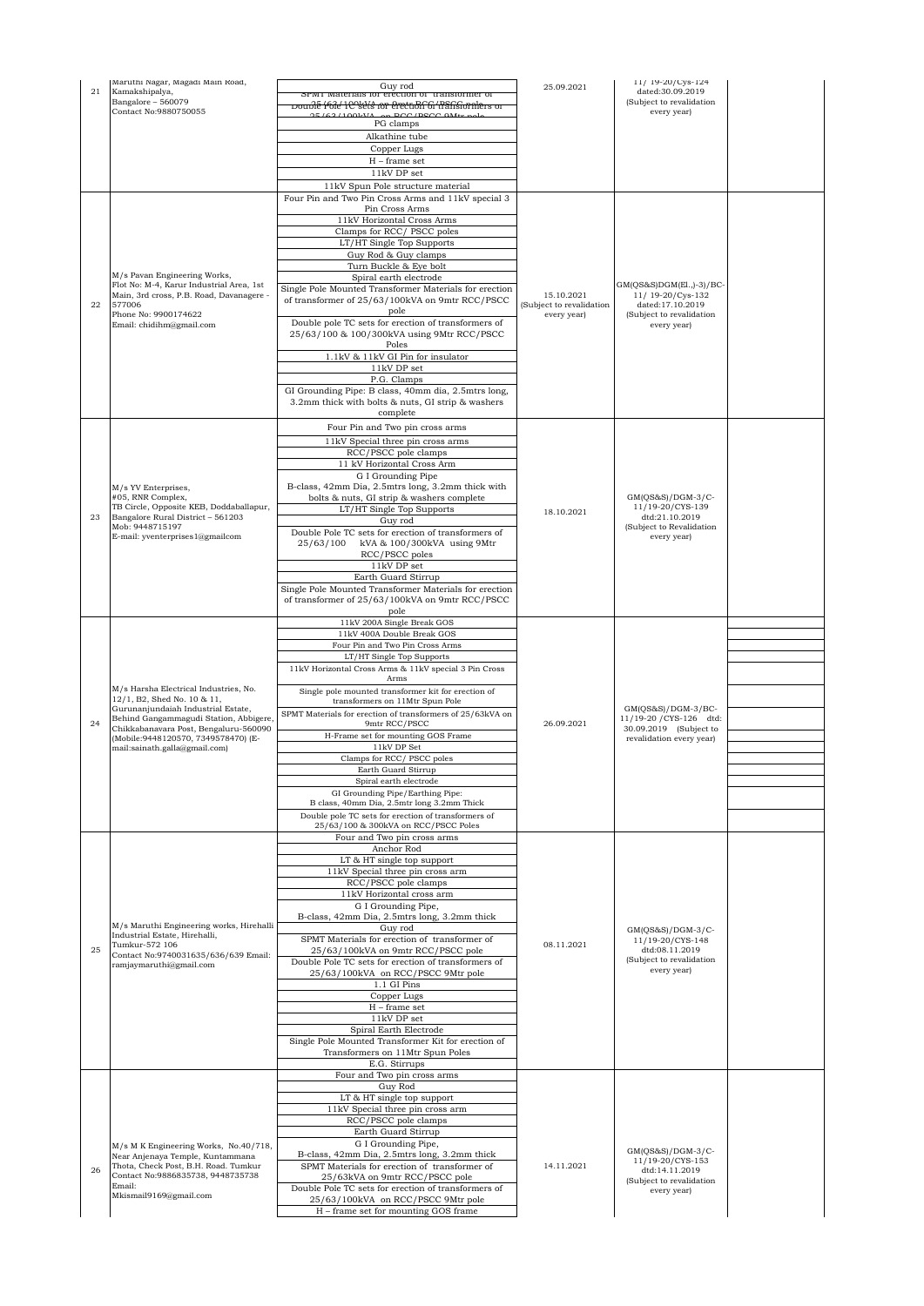| 21 | Maruthi Nagar, Magadi Main Road,<br>Kamakshipalya,                             | Guy rod                                                                                                  | 25.09.2021               | 11/19-20/Cys-124<br>dated:30.09.2019              |  |
|----|--------------------------------------------------------------------------------|----------------------------------------------------------------------------------------------------------|--------------------------|---------------------------------------------------|--|
|    | Bangalore - 560079                                                             | srwii materiais ior erection of transionner of<br>poublé 1616' 1C^sels for erecubh^61' transformlers of  |                          | (Subject to revalidation                          |  |
|    | Contact No:9880750055                                                          | E(62/1001.37)<br>DOO IDSOO OM+                                                                           |                          | every year)                                       |  |
|    |                                                                                | PG clamps<br>Alkathine tube                                                                              |                          |                                                   |  |
|    |                                                                                | Copper Lugs                                                                                              |                          |                                                   |  |
|    |                                                                                | $H$ – frame set                                                                                          |                          |                                                   |  |
|    |                                                                                | 11kV DP set                                                                                              |                          |                                                   |  |
|    |                                                                                | 11kV Spun Pole structure material                                                                        |                          |                                                   |  |
|    |                                                                                | Four Pin and Two Pin Cross Arms and 11kV special 3<br>Pin Cross Arms                                     |                          |                                                   |  |
|    |                                                                                | 11kV Horizontal Cross Arms                                                                               |                          |                                                   |  |
|    |                                                                                | Clamps for RCC/PSCC poles                                                                                |                          |                                                   |  |
|    |                                                                                | LT/HT Single Top Supports<br>Guy Rod & Guy clamps                                                        |                          |                                                   |  |
|    |                                                                                | Turn Buckle & Eye bolt                                                                                   |                          |                                                   |  |
|    | M/s Pavan Engineering Works,<br>Flot No: M-4, Karur Industrial Area, 1st       | Spiral earth electrode                                                                                   |                          |                                                   |  |
|    | Main, 3rd cross, P.B. Road, Davanagere -                                       | Single Pole Mounted Transformer Materials for erection                                                   | 15.10.2021               | $GM(QS&S)DGM(E1.,-3)/BC-$<br>11/ 19-20/Cys-132    |  |
| 22 | 577006<br>Phone No: 9900174622                                                 | of transformer of 25/63/100kVA on 9mtr RCC/PSCC<br>pole                                                  | (Subject to revalidation | dated:17.10.2019<br>(Subject to revalidation      |  |
|    | Email: chidihm@gmail.com                                                       | Double pole TC sets for erection of transformers of                                                      | every year)              | every year)                                       |  |
|    |                                                                                | 25/63/100 & 100/300kVA using 9Mtr RCC/PSCC<br>Poles                                                      |                          |                                                   |  |
|    |                                                                                | 1.1kV & 11kV GI Pin for insulator                                                                        |                          |                                                   |  |
|    |                                                                                | 11kV DP set                                                                                              |                          |                                                   |  |
|    |                                                                                | P.G. Clamps                                                                                              |                          |                                                   |  |
|    |                                                                                | GI Grounding Pipe: B class, 40mm dia, 2.5mtrs long,<br>3.2mm thick with bolts & nuts, GI strip & washers |                          |                                                   |  |
|    |                                                                                | complete                                                                                                 |                          |                                                   |  |
|    |                                                                                | Four Pin and Two pin cross arms                                                                          |                          |                                                   |  |
|    |                                                                                | 11kV Special three pin cross arms                                                                        |                          |                                                   |  |
|    |                                                                                | RCC/PSCC pole clamps                                                                                     |                          |                                                   |  |
|    |                                                                                | 11 kV Horizontal Cross Arm<br>G I Grounding Pipe                                                         |                          |                                                   |  |
|    | M/s YV Enterprises,                                                            | B-class, 42mm Dia, 2.5mtrs long, 3.2mm thick with                                                        |                          |                                                   |  |
|    | #05, RNR Complex,<br>TB Circle, Opposite KEB, Doddaballapur,                   | bolts & nuts, GI strip & washers complete                                                                |                          | $GM(QS&S)/DGM-3/C-$<br>11/19-20/CYS-139           |  |
| 23 | Bangalore Rural District - 561203                                              | LT/HT Single Top Supports<br>Guy rod                                                                     | 18.10.2021               | dtd:21.10.2019                                    |  |
|    | Mob: 9448715197                                                                | Double Pole TC sets for erection of transformers of                                                      |                          | (Subject to Revalidation                          |  |
|    | E-mail: yventerprises1@gmailcom                                                | kVA & 100/300kVA using 9Mtr<br>25/63/100                                                                 |                          | every year)                                       |  |
|    |                                                                                | RCC/PSCC poles<br>$11\mathrm{kV}$ DP set                                                                 |                          |                                                   |  |
|    |                                                                                | Earth Guard Stirrup                                                                                      |                          |                                                   |  |
|    |                                                                                | Single Pole Mounted Transformer Materials for erection                                                   |                          |                                                   |  |
|    |                                                                                | of transformer of 25/63/100kVA on 9mtr RCC/PSCC<br>pole                                                  |                          |                                                   |  |
|    |                                                                                | 11kV 200A Single Break GOS                                                                               |                          |                                                   |  |
|    |                                                                                | 11kV 400A Double Break GOS                                                                               |                          |                                                   |  |
|    |                                                                                | Four Pin and Two Pin Cross Arms                                                                          |                          |                                                   |  |
|    |                                                                                | LT/HT Single Top Supports<br>11kV Horizontal Cross Arms & 11kV special 3 Pin Cross                       |                          |                                                   |  |
|    |                                                                                | Arms                                                                                                     |                          |                                                   |  |
|    | M/s Harsha Electrical Industries, No.<br>12/1, B2, Shed No. 10 & 11,           | Single pole mounted transformer kit for erection of                                                      |                          |                                                   |  |
|    | Gurunanjundaiah Industrial Estate,                                             | transformers on 11Mtr Spun Pole<br>SPMT Materials for erection of transformers of 25/63kVA on            |                          | $GM(QS&S)/DGM-3/BC-$                              |  |
| 24 | Behind Gangammagudi Station, Abbigere<br>Chikkabanayara Post, Bengaluru-560090 | 9mtr RCC/PSCC                                                                                            | 26.09.2021               | 11/19-20 / CYS-126 dtd:<br>30.09.2019 (Subject to |  |
|    | (Mobile: 9448120570, 7349578470) (E-                                           | H-Frame set for mounting GOS Frame                                                                       |                          | revalidation every year)                          |  |
|    | mail:sainath.galla@gmail.com)                                                  | 11kV DP Set<br>Clamps for RCC/PSCC poles                                                                 |                          |                                                   |  |
|    |                                                                                | Earth Guard Stirrup                                                                                      |                          |                                                   |  |
|    |                                                                                | Spiral earth electrode                                                                                   |                          |                                                   |  |
|    |                                                                                | GI Grounding Pipe/Earthing Pipe:<br>B class, 40mm Dia, 2.5mtr long 3.2mm Thick                           |                          |                                                   |  |
|    |                                                                                | Double pole TC sets for erection of transformers of                                                      |                          |                                                   |  |
|    |                                                                                | 25/63/100 & 300kVA on RCC/PSCC Poles                                                                     |                          |                                                   |  |
|    |                                                                                | Four and Two pin cross arms<br>Anchor Rod                                                                |                          |                                                   |  |
|    |                                                                                | LT & HT single top support                                                                               |                          |                                                   |  |
|    |                                                                                | 11kV Special three pin cross arm                                                                         |                          |                                                   |  |
|    |                                                                                | RCC/PSCC pole clamps<br>11kV Horizontal cross arm                                                        |                          |                                                   |  |
|    |                                                                                | G I Grounding Pipe,                                                                                      |                          |                                                   |  |
|    | M/s Maruthi Engineering works, Hirehalli                                       | B-class, 42mm Dia, 2.5mtrs long, 3.2mm thick                                                             |                          |                                                   |  |
|    | Industrial Estate, Hirehalli,                                                  | Guy rod<br>SPMT Materials for erection of transformer of                                                 |                          | $GM(QS&S)/DGM-3/C-$<br>11/19-20/CYS-148           |  |
| 25 | Tumkur-572 106<br>Contact No:9740031635/636/639 Email:                         | 25/63/100kVA on 9mtr RCC/PSCC pole                                                                       | 08.11.2021               | dtd:08.11.2019                                    |  |
|    | ramjaymaruthi@gmail.com                                                        | Double Pole TC sets for erection of transformers of                                                      |                          | (Subject to revalidation<br>every year)           |  |
|    |                                                                                | 25/63/100kVA on RCC/PSCC 9Mtr pole<br>1.1 GI Pins                                                        |                          |                                                   |  |
|    |                                                                                | Copper Lugs                                                                                              |                          |                                                   |  |
|    |                                                                                | $H$ – frame set                                                                                          |                          |                                                   |  |
|    |                                                                                | 11kV DP set                                                                                              |                          |                                                   |  |
|    |                                                                                | Spiral Earth Electrode<br>Single Pole Mounted Transformer Kit for erection of                            |                          |                                                   |  |
|    |                                                                                | Transformers on 11Mtr Spun Poles                                                                         |                          |                                                   |  |
|    |                                                                                | E.G. Stirrups                                                                                            |                          |                                                   |  |
|    |                                                                                | Four and Two pin cross arms<br>Guy Rod                                                                   |                          |                                                   |  |
|    |                                                                                | LT & HT single top support                                                                               |                          |                                                   |  |
|    |                                                                                | 11kV Special three pin cross arm                                                                         |                          |                                                   |  |
|    |                                                                                | RCC/PSCC pole clamps<br>Earth Guard Stirrup                                                              |                          |                                                   |  |
|    | M/s M K Engineering Works, No.40/718,                                          | G I Grounding Pipe,                                                                                      |                          |                                                   |  |
|    | Near Anjenaya Temple, Kuntammana                                               | B-class, 42mm Dia, 2.5mtrs long, 3.2mm thick                                                             |                          | $GM(QS&S)/DGM-3/C-$<br>11/19-20/CYS-153           |  |
| 26 | Thota, Check Post, B.H. Road. Tumkur<br>Contact No:9886835738, 9448735738      | SPMT Materials for erection of transformer of<br>25/63kVA on 9mtr RCC/PSCC pole                          | 14.11.2021               | dtd:14.11.2019                                    |  |
|    | Email:                                                                         | Double Pole TC sets for erection of transformers of                                                      |                          | (Subject to revalidation<br>every year)           |  |
|    | Mkismail9169@gmail.com                                                         | 25/63/100kVA on RCC/PSCC 9Mtr pole                                                                       |                          |                                                   |  |
|    |                                                                                | H - frame set for mounting GOS frame                                                                     |                          |                                                   |  |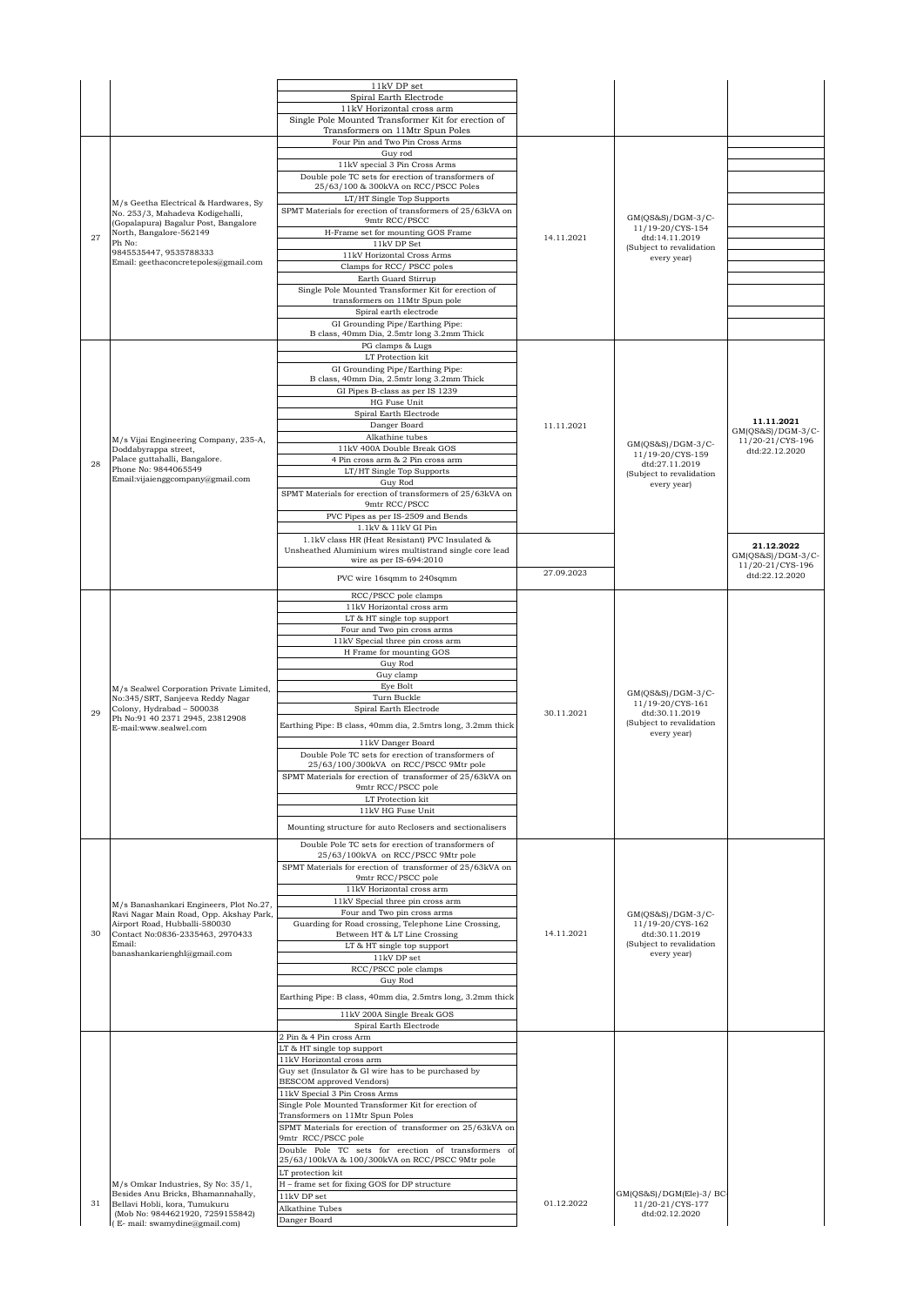|    |                                                                                                     | 11kV DP set                                                                                                |            |                                         |                                       |
|----|-----------------------------------------------------------------------------------------------------|------------------------------------------------------------------------------------------------------------|------------|-----------------------------------------|---------------------------------------|
|    |                                                                                                     | Spiral Earth Electrode<br>11kV Horizontal cross arm                                                        |            |                                         |                                       |
|    |                                                                                                     | Single Pole Mounted Transformer Kit for erection of                                                        |            |                                         |                                       |
|    |                                                                                                     | Transformers on 11Mtr Spun Poles<br>Four Pin and Two Pin Cross Arms                                        |            |                                         |                                       |
|    |                                                                                                     | Guy rod                                                                                                    |            |                                         |                                       |
|    |                                                                                                     | 11kV special 3 Pin Cross Arms<br>Double pole TC sets for erection of transformers of                       |            |                                         |                                       |
|    |                                                                                                     | 25/63/100 & 300kVA on RCC/PSCC Poles                                                                       |            |                                         |                                       |
|    | M/s Geetha Electrical & Hardwares, Sy                                                               | LT/HT Single Top Supports                                                                                  |            |                                         |                                       |
|    | No. 253/3, Mahadeva Kodigehalli,<br>(Gopalapura) Bagalur Post, Bangalore                            | SPMT Materials for erection of transformers of 25/63kVA on<br>9mtr RCC/PSCC                                |            | GM(QS&S)/DGM-3/C-                       |                                       |
| 27 | North, Bangalore-562149<br>Ph No:                                                                   | H-Frame set for mounting GOS Frame                                                                         | 14.11.2021 | 11/19-20/CYS-154<br>dtd:14.11.2019      |                                       |
|    | 9845535447, 9535788333                                                                              | 11kV DP Set<br>11kV Horizontal Cross Arms                                                                  |            | (Subject to revalidation<br>every year) |                                       |
|    | Email: geethaconcretepoles@gmail.com                                                                | Clamps for RCC/ PSCC poles                                                                                 |            |                                         |                                       |
|    |                                                                                                     | Earth Guard Stirrup<br>Single Pole Mounted Transformer Kit for erection of                                 |            |                                         |                                       |
|    |                                                                                                     | transformers on 11Mtr Spun pole                                                                            |            |                                         |                                       |
|    |                                                                                                     | Spiral earth electrode<br>GI Grounding Pipe/Earthing Pipe:                                                 |            |                                         |                                       |
|    |                                                                                                     | B class, 40mm Dia, 2.5mtr long 3.2mm Thick                                                                 |            |                                         |                                       |
|    |                                                                                                     | PG clamps & Lugs<br>LT Protection kit                                                                      |            |                                         |                                       |
|    |                                                                                                     | GI Grounding Pipe/Earthing Pipe:                                                                           |            |                                         |                                       |
|    |                                                                                                     | B class, 40mm Dia, 2.5mtr long 3.2mm Thick<br>GI Pipes B-class as per IS 1239                              |            |                                         |                                       |
|    |                                                                                                     | HG Fuse Unit                                                                                               |            |                                         |                                       |
|    |                                                                                                     | Spiral Earth Electrode                                                                                     |            |                                         | 11.11.2021                            |
|    |                                                                                                     | Danger Board<br>Alkathine tubes                                                                            | 11.11.2021 |                                         | $GM(QS&S)/DGM-3/C-$                   |
|    | M/s Vijai Engineering Company, 235-A,<br>Doddabyrappa street,                                       | 11kV 400A Double Break GOS                                                                                 |            | GM(QS&S)/DGM-3/C-<br>11/19-20/CYS-159   | 11/20-21/CYS-196<br>dtd:22.12.2020    |
| 28 | Palace guttahalli, Bangalore.<br>Phone No: 9844065549                                               | 4 Pin cross arm & 2 Pin cross arm<br>LT/HT Single Top Supports                                             |            | dtd:27.11.2019                          |                                       |
|    | Email:vijaienggcompany@gmail.com                                                                    | Guy Rod                                                                                                    |            | (Subject to revalidation<br>every year) |                                       |
|    |                                                                                                     | SPMT Materials for erection of transformers of 25/63kVA on<br>9mtr RCC/PSCC                                |            |                                         |                                       |
|    |                                                                                                     | PVC Pipes as per IS-2509 and Bends                                                                         |            |                                         |                                       |
|    |                                                                                                     | 1.1kV & 11kV GI Pin                                                                                        |            |                                         |                                       |
|    |                                                                                                     | 1.1kV class HR (Heat Resistant) PVC Insulated &<br>Unsheathed Aluminium wires multistrand single core lead |            |                                         | 21.12.2022                            |
|    |                                                                                                     | wire as per IS-694:2010                                                                                    |            |                                         | GM(QS&S)/DGM-3/C-<br>11/20-21/CYS-196 |
|    |                                                                                                     | PVC wire 16sqmm to 240sqmm                                                                                 | 27.09.2023 |                                         | dtd:22.12.2020                        |
|    |                                                                                                     | RCC/PSCC pole clamps                                                                                       |            |                                         |                                       |
|    |                                                                                                     | 11kV Horizontal cross arm<br>LT & HT single top support                                                    |            |                                         |                                       |
|    |                                                                                                     | Four and Two pin cross arms                                                                                |            |                                         |                                       |
|    |                                                                                                     | 11kV Special three pin cross arm<br>H Frame for mounting GOS                                               |            |                                         |                                       |
|    |                                                                                                     | Guy Rod                                                                                                    |            |                                         |                                       |
|    |                                                                                                     | Guy clamp                                                                                                  |            |                                         |                                       |
|    |                                                                                                     |                                                                                                            |            |                                         |                                       |
|    | M/s Sealwel Corporation Private Limited,<br>No:345/SRT, Sanjeeva Reddy Nagar                        | Eye Bolt<br>Turn Buckle                                                                                    |            | $GM(OS&S)/DGM-3/C-$                     |                                       |
| 29 | Colony, Hydrabad - 500038<br>Ph No:91 40 2371 2945, 23812908                                        | Spiral Earth Electrode                                                                                     | 30.11.2021 | 11/19-20/CYS-161<br>dtd:30.11.2019      |                                       |
|    | E-mail:www.sealwel.com                                                                              | Earthing Pipe: B class, 40mm dia, 2.5mtrs long, 3.2mm thick                                                |            | (Subject to revalidation<br>every year) |                                       |
|    |                                                                                                     | 11kV Danger Board                                                                                          |            |                                         |                                       |
|    |                                                                                                     | Double Pole TC sets for erection of transformers of<br>25/63/100/300kVA on RCC/PSCC 9Mtr pole              |            |                                         |                                       |
|    |                                                                                                     | SPMT Materials for erection of transformer of 25/63kVA on                                                  |            |                                         |                                       |
|    |                                                                                                     | 9mtr RCC/PSCC pole<br>LT Protection kit                                                                    |            |                                         |                                       |
|    |                                                                                                     | 11kV HG Fuse Unit                                                                                          |            |                                         |                                       |
|    |                                                                                                     | Mounting structure for auto Reclosers and sectionalisers                                                   |            |                                         |                                       |
|    |                                                                                                     | Double Pole TC sets for erection of transformers of                                                        |            |                                         |                                       |
|    |                                                                                                     | 25/63/100kVA on RCC/PSCC 9Mtr pole<br>SPMT Materials for erection of transformer of 25/63kVA on            |            |                                         |                                       |
|    |                                                                                                     | 9mtr RCC/PSCC pole                                                                                         |            |                                         |                                       |
|    |                                                                                                     | 11kV Horizontal cross arm<br>11kV Special three pin cross arm                                              |            |                                         |                                       |
|    | M/s Banashankari Engineers, Plot No.27,<br>Ravi Nagar Main Road, Opp. Akshay Park,                  | Four and Two pin cross arms                                                                                |            | $GM(QS&S)/DGM-3/C-$                     |                                       |
| 30 | Airport Road, Hubballi-580030<br>Contact No:0836-2335463, 2970433                                   | Guarding for Road crossing, Telephone Line Crossing,<br>Between HT & LT Line Crossing                      | 14.11.2021 | 11/19-20/CYS-162<br>dtd:30.11.2019      |                                       |
|    | Email:                                                                                              | LT & HT single top support                                                                                 |            | (Subject to revalidation                |                                       |
|    | banashankarienghl@gmail.com                                                                         | $11\mathrm{kV}$ DP set                                                                                     |            | every year)                             |                                       |
|    |                                                                                                     | RCC/PSCC pole clamps<br>Guy Rod                                                                            |            |                                         |                                       |
|    |                                                                                                     | Earthing Pipe: B class, 40mm dia, 2.5mtrs long, 3.2mm thick                                                |            |                                         |                                       |
|    |                                                                                                     | 11kV 200A Single Break GOS                                                                                 |            |                                         |                                       |
|    |                                                                                                     | Spiral Earth Electrode                                                                                     |            |                                         |                                       |
|    |                                                                                                     | 2 Pin & 4 Pin cross Arm<br>LT & HT single top support                                                      |            |                                         |                                       |
|    |                                                                                                     | 11kV Horizontal cross arm                                                                                  |            |                                         |                                       |
|    |                                                                                                     | Guy set (Insulator & GI wire has to be purchased by<br><b>BESCOM</b> approved Vendors)                     |            |                                         |                                       |
|    |                                                                                                     | 11kV Special 3 Pin Cross Arms                                                                              |            |                                         |                                       |
|    |                                                                                                     | Single Pole Mounted Transformer Kit for erection of<br>Transformers on 11Mtr Spun Poles                    |            |                                         |                                       |
|    |                                                                                                     | SPMT Materials for erection of transformer on 25/63kVA on                                                  |            |                                         |                                       |
|    |                                                                                                     | 9mtr RCC/PSCC pole<br>Double Pole TC sets for erection of transformers of                                  |            |                                         |                                       |
|    |                                                                                                     | 25/63/100kVA & 100/300kVA on RCC/PSCC 9Mtr pole                                                            |            |                                         |                                       |
|    | M/s Omkar Industries, Sy No: 35/1,                                                                  | LT protection kit<br>H - frame set for fixing GOS for DP structure                                         |            |                                         |                                       |
|    | Besides Anu Bricks, Bhamannahally,                                                                  | $11\mathrm{kV}$ DP set                                                                                     |            | GM(QS&S)/DGM(Ele)-3/ BC                 |                                       |
| 31 | Bellavi Hobli, kora, Tumukuru<br>(Mob No: 9844621920, 7259155842)<br>(E- mail: swamydine@gmail.com) | Alkathine Tubes<br>Danger Board                                                                            | 01.12.2022 | 11/20-21/CYS-177<br>dtd:02.12.2020      |                                       |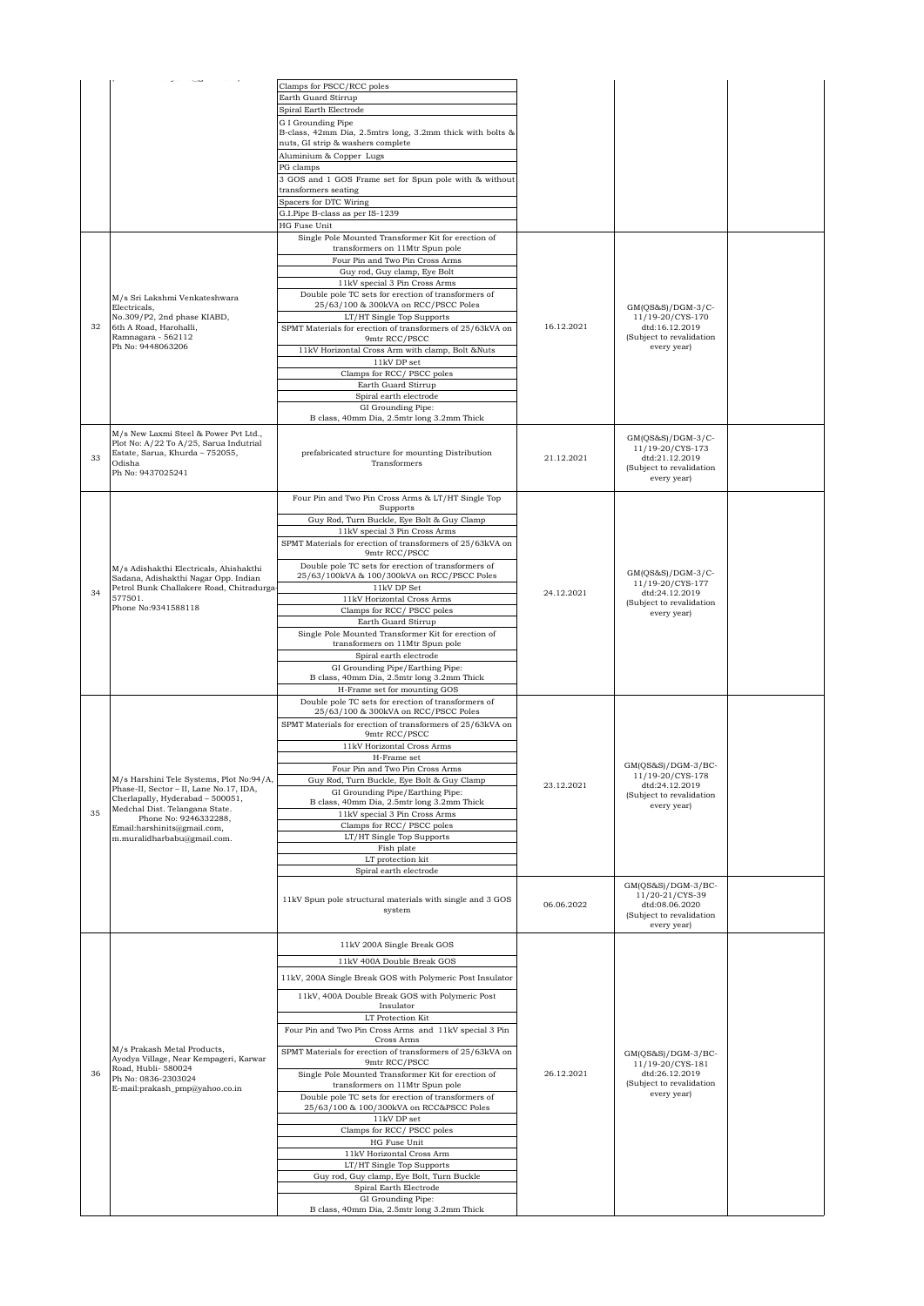|    |                                                                                  | Clamps for PSCC/RCC poles<br>Earth Guard Stirrup                                                   |            |                                            |  |
|----|----------------------------------------------------------------------------------|----------------------------------------------------------------------------------------------------|------------|--------------------------------------------|--|
|    |                                                                                  |                                                                                                    |            |                                            |  |
|    |                                                                                  | Spiral Earth Electrode                                                                             |            |                                            |  |
|    |                                                                                  | G I Grounding Pipe                                                                                 |            |                                            |  |
|    |                                                                                  | B-class, 42mm Dia, 2.5mtrs long, 3.2mm thick with bolts &<br>nuts, GI strip & washers complete     |            |                                            |  |
|    |                                                                                  |                                                                                                    |            |                                            |  |
|    |                                                                                  | Aluminium & Copper Lugs                                                                            |            |                                            |  |
|    |                                                                                  | PG clamps                                                                                          |            |                                            |  |
|    |                                                                                  | 3 GOS and 1 GOS Frame set for Spun pole with & without<br>transformers seating                     |            |                                            |  |
|    |                                                                                  | Spacers for DTC Wiring                                                                             |            |                                            |  |
|    |                                                                                  | G.I.Pipe B-class as per IS-1239                                                                    |            |                                            |  |
|    |                                                                                  | HG Fuse Unit                                                                                       |            |                                            |  |
|    |                                                                                  | Single Pole Mounted Transformer Kit for erection of                                                |            |                                            |  |
|    |                                                                                  | transformers on 11Mtr Spun pole                                                                    |            |                                            |  |
|    |                                                                                  | Four Pin and Two Pin Cross Arms                                                                    |            |                                            |  |
|    |                                                                                  | Guy rod, Guy clamp, Eye Bolt                                                                       |            |                                            |  |
|    |                                                                                  | 11kV special 3 Pin Cross Arms                                                                      |            |                                            |  |
|    | M/s Sri Lakshmi Venkateshwara                                                    | Double pole TC sets for erection of transformers of                                                |            |                                            |  |
|    | Electricals,                                                                     | 25/63/100 & 300kVA on RCC/PSCC Poles                                                               |            | $GM(QS&S)/DGM-3/C-$                        |  |
|    | No.309/P2, 2nd phase KIABD,                                                      | LT/HT Single Top Supports                                                                          |            | 11/19-20/CYS-170                           |  |
| 32 | 6th A Road, Harohalli,                                                           | SPMT Materials for erection of transformers of 25/63kVA on                                         | 16.12.2021 | dtd:16.12.2019                             |  |
|    | Ramnagara - 562112                                                               | 9mtr RCC/PSCC                                                                                      |            | (Subject to revalidation                   |  |
|    | Ph No: 9448063206                                                                | 11kV Horizontal Cross Arm with clamp, Bolt &Nuts                                                   |            | every year)                                |  |
|    |                                                                                  | $11\mathrm{kV}$ DP set                                                                             |            |                                            |  |
|    |                                                                                  | Clamps for RCC/ PSCC poles                                                                         |            |                                            |  |
|    |                                                                                  | Earth Guard Stirrup                                                                                |            |                                            |  |
|    |                                                                                  | Spiral earth electrode                                                                             |            |                                            |  |
|    |                                                                                  | GI Grounding Pipe:<br>B class, 40mm Dia, 2.5mtr long 3.2mm Thick                                   |            |                                            |  |
|    |                                                                                  |                                                                                                    |            |                                            |  |
|    | M/s New Laxmi Steel & Power Pvt Ltd.,                                            |                                                                                                    |            | $GM(QS&S)/DGM-3/C-$                        |  |
|    | Plot No: A/22 To A/25, Sarua Indutrial<br>Estate, Sarua, Khurda - 752055,        | prefabricated structure for mounting Distribution                                                  |            | 11/19-20/CYS-173                           |  |
| 33 | Odisha                                                                           | Transformers                                                                                       | 21.12.2021 | dtd:21.12.2019<br>(Subject to revalidation |  |
|    | Ph No: 9437025241                                                                |                                                                                                    |            | every year)                                |  |
|    |                                                                                  |                                                                                                    |            |                                            |  |
|    |                                                                                  | Four Pin and Two Pin Cross Arms & LT/HT Single Top                                                 |            |                                            |  |
|    |                                                                                  | Supports                                                                                           |            |                                            |  |
|    |                                                                                  | Guy Rod, Turn Buckle, Eye Bolt & Guy Clamp                                                         |            |                                            |  |
|    |                                                                                  | 11kV special 3 Pin Cross Arms                                                                      |            |                                            |  |
|    |                                                                                  | SPMT Materials for erection of transformers of 25/63kVA on                                         |            |                                            |  |
|    |                                                                                  | 9mtr RCC/PSCC                                                                                      |            |                                            |  |
|    | M/s Adishakthi Electricals, Ahishakthi                                           | Double pole TC sets for erection of transformers of<br>25/63/100kVA & 100/300kVA on RCC/PSCC Poles |            | $GM(QS&S)/DGM-3/C-$                        |  |
|    | Sadana, Adishakthi Nagar Opp. Indian<br>Petrol Bunk Challakere Road, Chitradurga | 11kV DP Set                                                                                        |            | 11/19-20/CYS-177                           |  |
| 34 | 577501.                                                                          | 11kV Horizontal Cross Arms                                                                         | 24.12.2021 | dtd:24.12.2019                             |  |
|    | Phone No:9341588118                                                              | Clamps for RCC/PSCC poles                                                                          |            | (Subject to revalidation                   |  |
|    |                                                                                  | Earth Guard Stirrup                                                                                |            | every year)                                |  |
|    |                                                                                  | Single Pole Mounted Transformer Kit for erection of                                                |            |                                            |  |
|    |                                                                                  | transformers on 11Mtr Spun pole                                                                    |            |                                            |  |
|    |                                                                                  | Spiral earth electrode                                                                             |            |                                            |  |
|    |                                                                                  | GI Grounding Pipe/Earthing Pipe:                                                                   |            |                                            |  |
|    |                                                                                  | B class, 40mm Dia, 2.5mtr long 3.2mm Thick                                                         |            |                                            |  |
|    |                                                                                  | H-Frame set for mounting GOS                                                                       |            |                                            |  |
|    |                                                                                  | Double pole TC sets for erection of transformers of<br>25/63/100 & 300kVA on RCC/PSCC Poles        |            |                                            |  |
|    |                                                                                  | SPMT Materials for erection of transformers of 25/63kVA on                                         |            |                                            |  |
|    |                                                                                  | 9mtr RCC/PSCC                                                                                      |            |                                            |  |
|    |                                                                                  | 11kV Horizontal Cross Arms                                                                         |            |                                            |  |
|    |                                                                                  | H-Frame set                                                                                        |            |                                            |  |
|    |                                                                                  | Four Pin and Two Pin Cross Arms                                                                    |            | GM(QS&S)/DGM-3/BC-                         |  |
|    | M/s Harshini Tele Systems, Plot No:94/A,                                         | Guy Rod, Turn Buckle, Eye Bolt & Guy Clamp                                                         | 23.12.2021 | 11/19-20/CYS-178<br>dtd:24.12.2019         |  |
|    | Phase-II, Sector - II, Lane No.17, IDA,<br>Cherlapally, Hyderabad - 500051,      | GI Grounding Pipe/Earthing Pipe:                                                                   |            | (Subject to revalidation                   |  |
|    | Medchal Dist. Telangana State.                                                   | B class, 40mm Dia, 2.5mtr long 3.2mm Thick                                                         |            | every year)                                |  |
| 35 | Phone No: 9246332288,                                                            | 11kV special 3 Pin Cross Arms                                                                      |            |                                            |  |
|    | Email:harshinits@gmail.com,                                                      | Clamps for RCC/PSCC poles                                                                          |            |                                            |  |
|    | m.muralidharbabu@gmail.com.                                                      | LT/HT Single Top Supports                                                                          |            |                                            |  |
|    |                                                                                  | Fish plate<br>LT protection kit                                                                    |            |                                            |  |
|    |                                                                                  | Spiral earth electrode                                                                             |            |                                            |  |
|    |                                                                                  |                                                                                                    |            | $GM(QS&S)/DGM-3/BC-$                       |  |
|    |                                                                                  | 11kV Spun pole structural materials with single and 3 GOS                                          | 06.06.2022 | 11/20-21/CYS-39<br>dtd:08.06.2020          |  |
|    |                                                                                  | system                                                                                             |            | (Subject to revalidation<br>every year)    |  |
|    |                                                                                  |                                                                                                    |            |                                            |  |
|    |                                                                                  | 11kV 200A Single Break GOS                                                                         |            |                                            |  |
|    |                                                                                  | 11kV 400A Double Break GOS                                                                         |            |                                            |  |
|    |                                                                                  | 11kV, 200A Single Break GOS with Polymeric Post Insulator                                          |            |                                            |  |
|    |                                                                                  |                                                                                                    |            |                                            |  |
|    |                                                                                  | 11kV, 400A Double Break GOS with Polymeric Post<br>Insulator                                       |            |                                            |  |
|    |                                                                                  | LT Protection Kit                                                                                  |            |                                            |  |
|    |                                                                                  | Four Pin and Two Pin Cross Arms and 11kV special 3 Pin                                             |            |                                            |  |
|    | M/s Prakash Metal Products,                                                      | Cross Arms                                                                                         |            |                                            |  |
|    | Ayodya Village, Near Kempageri, Karwar                                           | SPMT Materials for erection of transformers of 25/63kVA on<br>9mtr RCC/PSCC                        |            | $GM(QS&S)/DGM-3/BC-$                       |  |
| 36 | Road, Hubli- 580024                                                              | Single Pole Mounted Transformer Kit for erection of                                                | 26.12.2021 | 11/19-20/CYS-181<br>dtd:26.12.2019         |  |
|    | Ph No: 0836-2303024                                                              | transformers on 11Mtr Spun pole                                                                    |            | (Subject to revalidation                   |  |
|    | E-mail:prakash_pmp@yahoo.co.in                                                   | Double pole TC sets for erection of transformers of                                                |            | every year)                                |  |
|    |                                                                                  | 25/63/100 & 100/300kVA on RCC&PSCC Poles                                                           |            |                                            |  |
|    |                                                                                  | 11kV DP set                                                                                        |            |                                            |  |
|    |                                                                                  | Clamps for RCC/ PSCC poles                                                                         |            |                                            |  |
|    |                                                                                  | HG Fuse Unit                                                                                       |            |                                            |  |
|    |                                                                                  |                                                                                                    |            |                                            |  |
|    |                                                                                  | 11kV Horizontal Cross Arm                                                                          |            |                                            |  |
|    |                                                                                  | LT/HT Single Top Supports                                                                          |            |                                            |  |
|    |                                                                                  | Guy rod, Guy clamp, Eye Bolt, Turn Buckle                                                          |            |                                            |  |
|    |                                                                                  | Spiral Earth Electrode<br>GI Grounding Pipe:                                                       |            |                                            |  |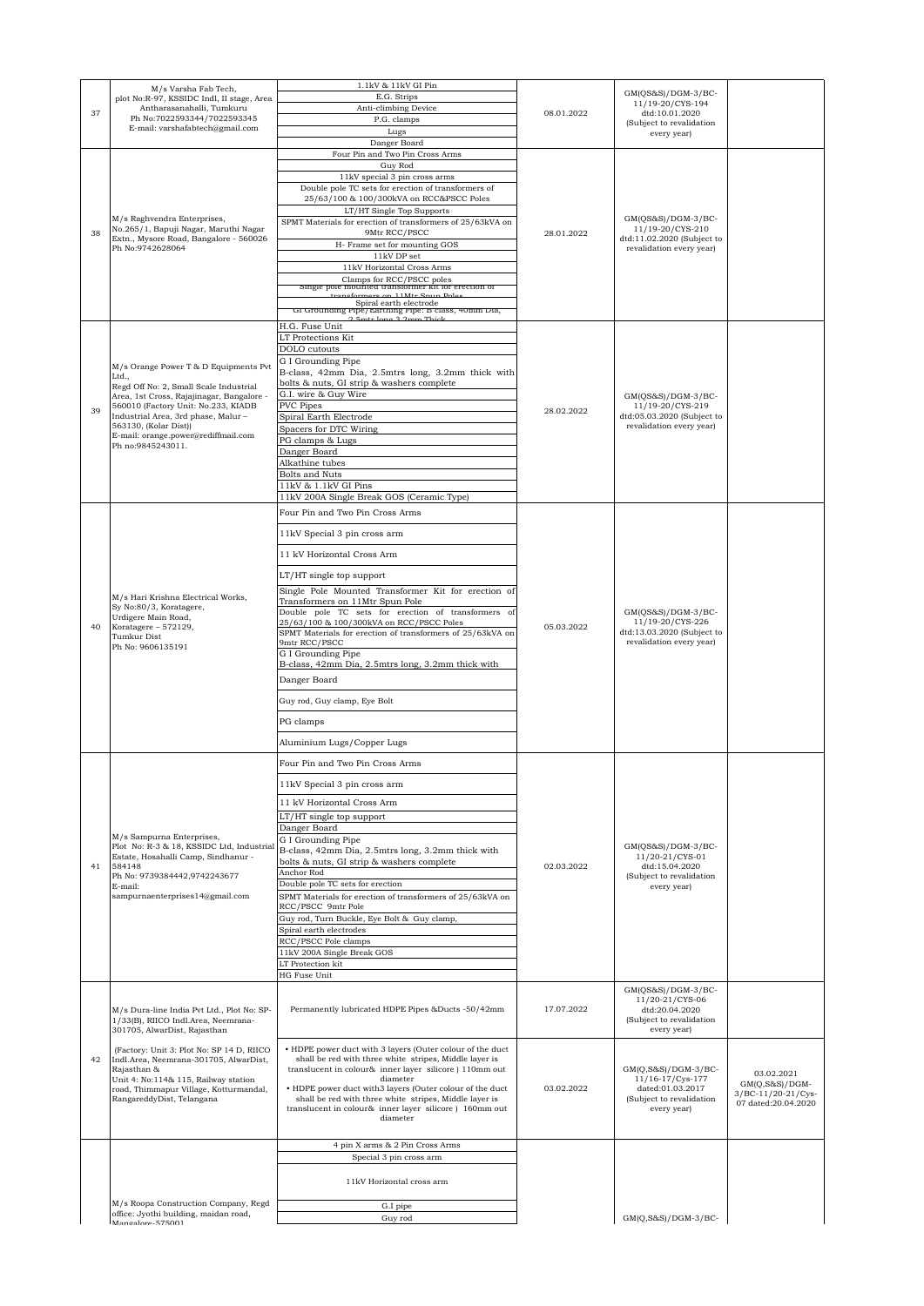|    | M/s Varsha Fab Tech,                                                                                                                                    | 1.1kV & 11kV GI Pin                                                                                                 |            | $GM(QS&S)/DGM-3/BC-$                                                                               |                                         |
|----|---------------------------------------------------------------------------------------------------------------------------------------------------------|---------------------------------------------------------------------------------------------------------------------|------------|----------------------------------------------------------------------------------------------------|-----------------------------------------|
|    | plot No:R-97, KSSIDC Indl, II stage, Area<br>Antharasanahalli, Tumkuru                                                                                  | E.G. Strips<br>Anti-climbing Device                                                                                 |            | 11/19-20/CYS-194                                                                                   |                                         |
| 37 | Ph No:7022593344/7022593345                                                                                                                             | P.G. clamps                                                                                                         | 08.01.2022 | dtd:10.01.2020<br>(Subject to revalidation                                                         |                                         |
|    | E-mail: varshafabtech@gmail.com                                                                                                                         | Lugs                                                                                                                |            | every year)                                                                                        |                                         |
|    |                                                                                                                                                         | Danger Board<br>Four Pin and Two Pin Cross Arms                                                                     |            |                                                                                                    |                                         |
|    |                                                                                                                                                         | Guy Rod                                                                                                             |            |                                                                                                    |                                         |
|    |                                                                                                                                                         | 11kV special 3 pin cross arms                                                                                       |            |                                                                                                    |                                         |
|    |                                                                                                                                                         | Double pole TC sets for erection of transformers of<br>25/63/100 & 100/300kVA on RCC&PSCC Poles                     |            |                                                                                                    |                                         |
|    |                                                                                                                                                         | LT/HT Single Top Supports                                                                                           |            |                                                                                                    |                                         |
|    | M/s Raghvendra Enterprises,<br>No.265/1, Bapuji Nagar, Maruthi Nagar                                                                                    | SPMT Materials for erection of transformers of 25/63kVA on<br>9Mtr RCC/PSCC                                         |            | $GM(QS&S)/DGM-3/BC-$<br>11/19-20/CYS-210                                                           |                                         |
| 38 | Extn., Mysore Road, Bangalore - 560026                                                                                                                  | H- Frame set for mounting GOS                                                                                       | 28.01.2022 | dtd:11.02.2020 (Subject to                                                                         |                                         |
|    | Ph No:9742628064                                                                                                                                        | 11kV DP set                                                                                                         |            | revalidation every year)                                                                           |                                         |
|    |                                                                                                                                                         | 11kV Horizontal Cross Arms                                                                                          |            |                                                                                                    |                                         |
|    |                                                                                                                                                         | Clamps for RCC/PSCC poles<br>single pole mounted transformer kit for erection of                                    |            |                                                                                                    |                                         |
|    |                                                                                                                                                         | Spiral earth electrode                                                                                              |            |                                                                                                    |                                         |
|    |                                                                                                                                                         | Gi Grounding Pipe/Earthing Pipe: B class, 40mm Dia,<br>2.5mtr Jong 2.2mm Thiel                                      |            |                                                                                                    |                                         |
|    |                                                                                                                                                         | H.G. Fuse Unit<br>LT Protections Kit                                                                                |            |                                                                                                    |                                         |
|    |                                                                                                                                                         | DOLO cutouts                                                                                                        |            |                                                                                                    |                                         |
|    | M/s Orange Power T & D Equipments Pvt                                                                                                                   | G I Grounding Pipe                                                                                                  |            |                                                                                                    |                                         |
|    | Ltd.,<br>Regd Off No: 2, Small Scale Industrial                                                                                                         | B-class, 42mm Dia, 2.5mtrs long, 3.2mm thick with<br>bolts & nuts, GI strip & washers complete                      |            |                                                                                                    |                                         |
|    | Area, 1st Cross, Rajajinagar, Bangalore -                                                                                                               | G.I. wire & Guy Wire                                                                                                |            | GM(OS&S)/DGM-3/BC-                                                                                 |                                         |
| 39 | 560010 (Factory Unit: No.233, KIADB<br>Industrial Area, 3rd phase, Malur-                                                                               | PVC Pipes                                                                                                           | 28.02.2022 | 11/19-20/CYS-219<br>dtd:05.03.2020 (Subject to                                                     |                                         |
|    | 563130, (Kolar Dist))                                                                                                                                   | Spiral Earth Electrode<br>Spacers for DTC Wiring                                                                    |            | revalidation every year)                                                                           |                                         |
|    | E-mail: orange.power@rediffmail.com<br>Ph no:9845243011.                                                                                                | PG clamps & Lugs                                                                                                    |            |                                                                                                    |                                         |
|    |                                                                                                                                                         | Danger Board<br>Alkathine tubes                                                                                     |            |                                                                                                    |                                         |
|    |                                                                                                                                                         | Bolts and Nuts                                                                                                      |            |                                                                                                    |                                         |
|    |                                                                                                                                                         | 11kV & 1.1kV GI Pins                                                                                                |            |                                                                                                    |                                         |
|    |                                                                                                                                                         | 11kV 200A Single Break GOS (Ceramic Type)                                                                           |            |                                                                                                    |                                         |
|    |                                                                                                                                                         | Four Pin and Two Pin Cross Arms                                                                                     |            |                                                                                                    |                                         |
|    |                                                                                                                                                         | 11kV Special 3 pin cross arm                                                                                        |            |                                                                                                    |                                         |
|    |                                                                                                                                                         | 11 kV Horizontal Cross Arm                                                                                          |            |                                                                                                    |                                         |
|    |                                                                                                                                                         |                                                                                                                     |            |                                                                                                    |                                         |
|    |                                                                                                                                                         | LT/HT single top support<br>Single Pole Mounted Transformer Kit for erection of                                     |            |                                                                                                    |                                         |
|    | M/s Hari Krishna Electrical Works,<br>Sy No:80/3, Koratagere,<br>Urdigere Main Road,<br>Koratagere - 572129,<br><b>Tumkur Dist</b><br>Ph No: 9606135191 | Transformers on 11Mtr Spun Pole                                                                                     |            | $GM(QS&S)/DGM-3/BC-$<br>11/19-20/CYS-226<br>dtd:13.03.2020 (Subject to<br>revalidation every year) |                                         |
|    |                                                                                                                                                         | Double pole TC sets for erection of transformers of<br>25/63/100 & 100/300kVA on RCC/PSCC Poles                     |            |                                                                                                    |                                         |
| 40 |                                                                                                                                                         | SPMT Materials for erection of transformers of 25/63kVA on                                                          | 05.03.2022 |                                                                                                    |                                         |
|    |                                                                                                                                                         | 9mtr RCC/PSCC                                                                                                       |            |                                                                                                    |                                         |
|    |                                                                                                                                                         | G I Grounding Pipe<br>B-class, 42mm Dia, 2.5mtrs long, 3.2mm thick with                                             |            |                                                                                                    |                                         |
|    |                                                                                                                                                         | Danger Board                                                                                                        |            |                                                                                                    |                                         |
|    |                                                                                                                                                         | Guy rod, Guy clamp, Eye Bolt                                                                                        |            |                                                                                                    |                                         |
|    |                                                                                                                                                         |                                                                                                                     |            |                                                                                                    |                                         |
|    |                                                                                                                                                         | PG clamps                                                                                                           |            |                                                                                                    |                                         |
|    |                                                                                                                                                         | Aluminium Lugs/Copper Lugs                                                                                          |            |                                                                                                    |                                         |
|    |                                                                                                                                                         | Four Pin and Two Pin Cross Arms                                                                                     |            |                                                                                                    |                                         |
|    |                                                                                                                                                         | 11kV Special 3 pin cross arm                                                                                        |            |                                                                                                    |                                         |
|    |                                                                                                                                                         | 11 kV Horizontal Cross Arm                                                                                          |            |                                                                                                    |                                         |
|    |                                                                                                                                                         | LT/HT single top support                                                                                            |            |                                                                                                    |                                         |
|    |                                                                                                                                                         | Danger Board                                                                                                        |            |                                                                                                    |                                         |
|    | M/s Sampurna Enterprises,<br>Plot No: R-3 & 18, KSSIDC Ltd, Industria                                                                                   | G I Grounding Pipe                                                                                                  |            | GM(QS&S)/DGM-3/BC-                                                                                 |                                         |
| 41 | Estate, Hosahalli Camp, Sindhanur -<br>584148                                                                                                           | B-class, 42mm Dia, 2.5mtrs long, 3.2mm thick with<br>bolts & nuts, GI strip & washers complete                      | 02.03.2022 | 11/20-21/CYS-01<br>dtd:15.04.2020                                                                  |                                         |
|    | Ph No: 9739384442,9742243677                                                                                                                            | Anchor Rod                                                                                                          |            | (Subject to revalidation                                                                           |                                         |
|    | E-mail:<br>sampurnaenterprises14@gmail.com                                                                                                              | Double pole TC sets for erection<br>SPMT Materials for erection of transformers of 25/63kVA on                      |            | every year)                                                                                        |                                         |
|    |                                                                                                                                                         | RCC/PSCC 9mtr Pole                                                                                                  |            |                                                                                                    |                                         |
|    |                                                                                                                                                         | Guy rod, Turn Buckle, Eye Bolt & Guy clamp,                                                                         |            |                                                                                                    |                                         |
|    |                                                                                                                                                         | Spiral earth electrodes<br>RCC/PSCC Pole clamps                                                                     |            |                                                                                                    |                                         |
|    |                                                                                                                                                         | 11kV 200A Single Break GOS                                                                                          |            |                                                                                                    |                                         |
|    |                                                                                                                                                         | LT Protection kit<br>HG Fuse Unit                                                                                   |            |                                                                                                    |                                         |
|    |                                                                                                                                                         |                                                                                                                     |            | GM(QS&S)/DGM-3/BC-                                                                                 |                                         |
|    | M/s Dura-line India Pvt Ltd., Plot No: SP-                                                                                                              | Permanently lubricated HDPE Pipes &Ducts -50/42mm                                                                   | 17.07.2022 | 11/20-21/CYS-06<br>dtd:20.04.2020                                                                  |                                         |
|    | 1/33(B), RIICO Indl.Area, Neemrana-<br>301705, AlwarDist, Rajasthan                                                                                     |                                                                                                                     |            | (Subject to revalidation<br>every year)                                                            |                                         |
|    |                                                                                                                                                         |                                                                                                                     |            |                                                                                                    |                                         |
| 42 | (Factory: Unit 3: Plot No: SP 14 D, RIICO<br>Indl.Area, Neemrana-301705, AlwarDist,                                                                     | • HDPE power duct with 3 layers (Outer colour of the duct<br>shall be red with three white stripes, Middle layer is |            |                                                                                                    |                                         |
|    | Rajasthan &<br>Unit 4: No:114& 115, Railway station                                                                                                     | translucent in colour& inner layer silicore ) 110mm out<br>diameter                                                 |            | $GM(Q, S&S)/DGM-3/BC-$<br>11/16-17/Cys-177                                                         | 03.02.2021                              |
|    | road, Thimmapur Village, Kotturmandal,                                                                                                                  | • HDPE power duct with3 layers (Outer colour of the duct                                                            | 03.02.2022 | dated:01.03.2017                                                                                   | $GM(Q, S&S)/DGM-$<br>3/BC-11/20-21/Cys- |
|    | RangareddyDist, Telangana                                                                                                                               | shall be red with three white stripes, Middle layer is<br>translucent in colour& inner layer silicore ) 160mm out   |            | (Subject to revalidation<br>every year)                                                            | 07 dated:20.04.2020                     |
|    |                                                                                                                                                         | diameter                                                                                                            |            |                                                                                                    |                                         |
|    |                                                                                                                                                         |                                                                                                                     |            |                                                                                                    |                                         |
|    |                                                                                                                                                         | 4 pin X arms & 2 Pin Cross Arms<br>Special 3 pin cross arm                                                          |            |                                                                                                    |                                         |
|    |                                                                                                                                                         |                                                                                                                     |            |                                                                                                    |                                         |
|    |                                                                                                                                                         | 11kV Horizontal cross arm                                                                                           |            |                                                                                                    |                                         |
|    | M/s Roopa Construction Company, Regd                                                                                                                    | G.I pipe                                                                                                            |            |                                                                                                    |                                         |
|    | office: Jyothi building, maidan road,<br>Monrolore_575001                                                                                               | Guy rod                                                                                                             |            | $GM(Q, S&S)/DGM-3/BC-$                                                                             |                                         |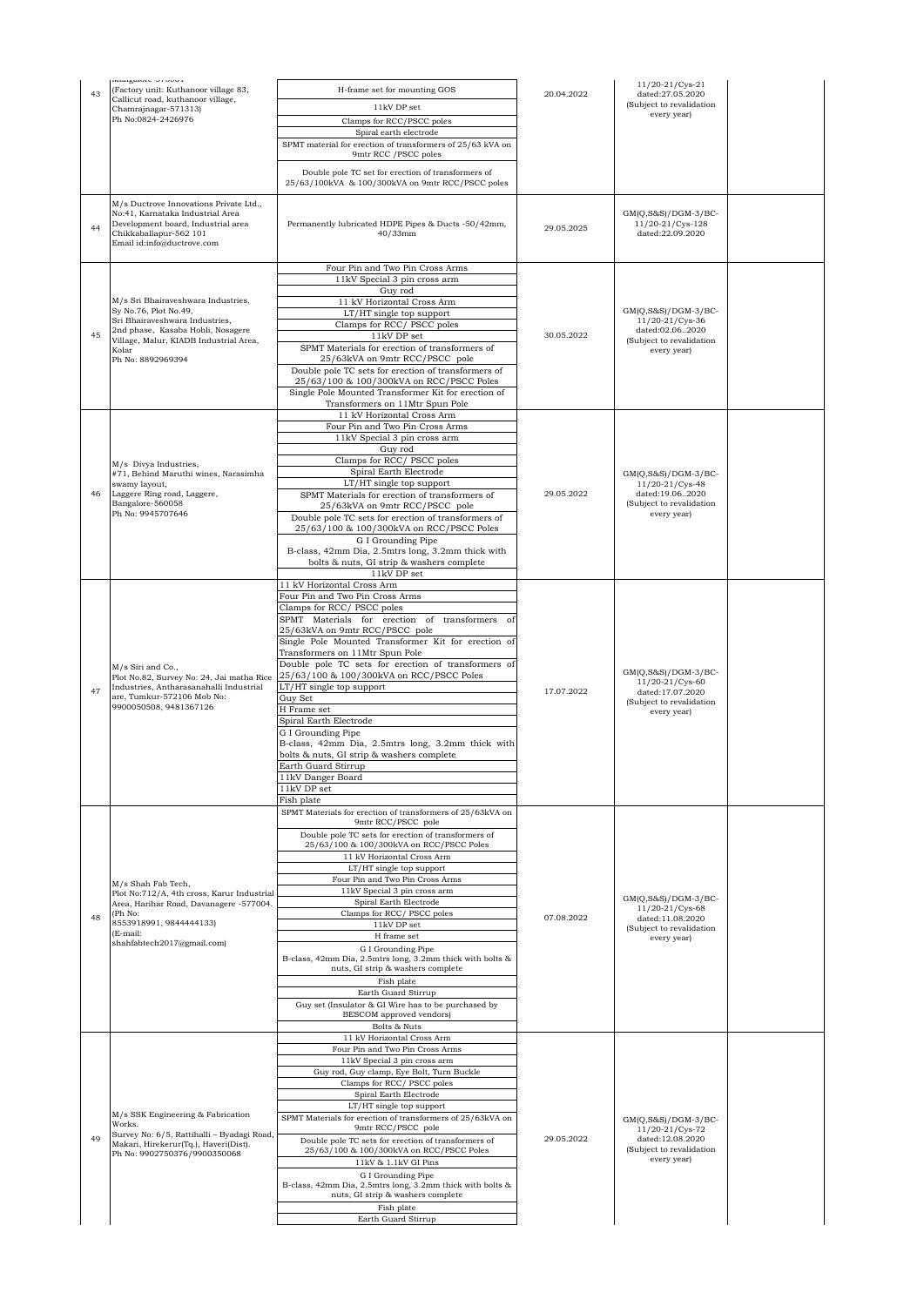| 43 | wangalure-or Juuri<br>(Factory unit: Kuthanoor village 83,                                                                                                               | H-frame set for mounting GOS                                                                    |            | 11/20-21/Cys-21                                                |  |
|----|--------------------------------------------------------------------------------------------------------------------------------------------------------------------------|-------------------------------------------------------------------------------------------------|------------|----------------------------------------------------------------|--|
|    | Callicut road, kuthanoor village,<br>Chamrajnagar-571313)                                                                                                                | 11kV DP set                                                                                     | 20.04.2022 | dated:27.05.2020<br>(Subject to revalidation                   |  |
|    | Ph No:0824-2426976                                                                                                                                                       | Clamps for RCC/PSCC poles                                                                       |            | every year)                                                    |  |
|    |                                                                                                                                                                          | Spiral earth electrode                                                                          |            |                                                                |  |
|    |                                                                                                                                                                          | SPMT material for erection of transformers of 25/63 kVA on<br>9mtr RCC / PSCC poles             |            |                                                                |  |
|    |                                                                                                                                                                          | Double pole TC set for erection of transformers of                                              |            |                                                                |  |
|    |                                                                                                                                                                          | 25/63/100kVA & 100/300kVA on 9mtr RCC/PSCC poles                                                |            |                                                                |  |
| 44 | M/s Ductrove Innovations Private Ltd.,<br>No:41, Karnataka Industrial Area<br>Development board, Industrial area<br>Chikkaballapur-562 101<br>Email id:info@ductrove.com | Permanently lubricated HDPE Pipes & Ducts -50/42mm,<br>40/33mm                                  | 29.05.2025 | $GM(Q, S&S)/DGM-3/BC-$<br>11/20-21/Cys-128<br>dated:22.09.2020 |  |
|    |                                                                                                                                                                          | Four Pin and Two Pin Cross Arms                                                                 |            |                                                                |  |
|    |                                                                                                                                                                          | 11kV Special 3 pin cross arm                                                                    |            |                                                                |  |
|    | M/s Sri Bhairaveshwara Industries,                                                                                                                                       | Guy rod<br>11 kV Horizontal Cross Arm                                                           |            |                                                                |  |
|    | Sy No.76, Plot No.49,<br>Sri Bhairaveshwara Industries,                                                                                                                  | LT/HT single top support                                                                        |            | $GM(Q, S&S)/DGM-3/BC-$<br>11/20-21/Cys-36                      |  |
| 45 | 2nd phase, Kasaba Hobli, Nosagere<br>Village, Malur, KIADB Industrial Area,                                                                                              | Clamps for RCC/PSCC poles<br>11kV DP set                                                        | 30.05.2022 | dated:02.062020<br>(Subject to revalidation                    |  |
|    | Kolar                                                                                                                                                                    | SPMT Materials for erection of transformers of                                                  |            | every year)                                                    |  |
|    | Ph No: 8892969394                                                                                                                                                        | 25/63kVA on 9mtr RCC/PSCC pole<br>Double pole TC sets for erection of transformers of           |            |                                                                |  |
|    |                                                                                                                                                                          | 25/63/100 & 100/300kVA on RCC/PSCC Poles                                                        |            |                                                                |  |
|    |                                                                                                                                                                          | Single Pole Mounted Transformer Kit for erection of<br>Transformers on 11Mtr Spun Pole          |            |                                                                |  |
|    |                                                                                                                                                                          | 11 kV Horizontal Cross Arm                                                                      |            |                                                                |  |
|    |                                                                                                                                                                          | Four Pin and Two Pin Cross Arms<br>11kV Special 3 pin cross arm                                 |            |                                                                |  |
|    |                                                                                                                                                                          | Guy rod                                                                                         |            |                                                                |  |
|    | M/s Divya Industries,                                                                                                                                                    | Clamps for RCC/PSCC poles<br>Spiral Earth Electrode                                             |            |                                                                |  |
|    | #71, Behind Maruthi wines, Narasimha<br>swamy layout,                                                                                                                    | LT/HT single top support                                                                        |            | $GM(Q, S&S)/DGM-3/BC-$<br>11/20-21/Cys-48                      |  |
| 46 | Laggere Ring road, Laggere,<br>Bangalore-560058                                                                                                                          | SPMT Materials for erection of transformers of<br>25/63kVA on 9mtr RCC/PSCC pole                | 29.05.2022 | dated:19.062020<br>(Subject to revalidation                    |  |
|    | Ph No: 9945707646                                                                                                                                                        | Double pole TC sets for erection of transformers of                                             |            | every year)                                                    |  |
|    |                                                                                                                                                                          | 25/63/100 & 100/300kVA on RCC/PSCC Poles<br>G I Grounding Pipe                                  |            |                                                                |  |
|    |                                                                                                                                                                          | B-class, 42mm Dia, 2.5mtrs long, 3.2mm thick with                                               |            |                                                                |  |
|    |                                                                                                                                                                          | bolts & nuts, GI strip & washers complete<br>11kV DP set                                        |            |                                                                |  |
|    |                                                                                                                                                                          | 11 kV Horizontal Cross Arm                                                                      |            |                                                                |  |
|    |                                                                                                                                                                          | Four Pin and Two Pin Cross Arms                                                                 |            |                                                                |  |
|    |                                                                                                                                                                          | Clamps for RCC/PSCC poles<br>SPMT Materials for erection of transformers of                     |            |                                                                |  |
|    |                                                                                                                                                                          | 25/63kVA on 9mtr RCC/PSCC pole                                                                  |            |                                                                |  |
|    |                                                                                                                                                                          | Single Pole Mounted Transformer Kit for erection of<br>Transformers on 11Mtr Spun Pole          |            |                                                                |  |
|    | M/s Siri and Co.,                                                                                                                                                        | Double pole TC sets for erection of transformers of                                             |            | $GM(Q,S&S)/DGM-3/BC-$                                          |  |
| 47 | Plot No.82, Survey No: 24, Jai matha Rice<br>Industries, Antharasanahalli Industrial                                                                                     | 25/63/100 & 100/300kVA on RCC/PSCC Poles<br>LT/HT single top support                            |            | 11/20-21/Cys-60                                                |  |
|    | are, Tumkur-572106 Mob No:<br>9900050508, 9481367126                                                                                                                     | Guy Set                                                                                         | 17.07.2022 | dated:17.07.2020<br>(Subject to revalidation                   |  |
|    |                                                                                                                                                                          | H Frame set<br>Spiral Earth Electrode                                                           |            | every year)                                                    |  |
|    |                                                                                                                                                                          | G I Grounding Pipe                                                                              |            |                                                                |  |
|    |                                                                                                                                                                          | B-class, 42mm Dia, 2.5mtrs long, 3.2mm thick with<br>bolts & nuts, GI strip & washers complete  |            |                                                                |  |
|    |                                                                                                                                                                          | Earth Guard Stirrup                                                                             |            |                                                                |  |
|    |                                                                                                                                                                          | 11kV Danger Board<br>11kV DP set                                                                |            |                                                                |  |
|    |                                                                                                                                                                          | Fish plate                                                                                      |            |                                                                |  |
|    |                                                                                                                                                                          | SPMT Materials for erection of transformers of 25/63kVA on<br>9mtr RCC/PSCC pole                |            |                                                                |  |
|    |                                                                                                                                                                          | Double pole TC sets for erection of transformers of<br>25/63/100 & 100/300kVA on RCC/PSCC Poles |            |                                                                |  |
|    |                                                                                                                                                                          | 11 kV Horizontal Cross Arm                                                                      |            |                                                                |  |
|    |                                                                                                                                                                          | LT/HT single top support                                                                        |            |                                                                |  |
|    | M/s Shah Fab Tech,<br>Plot No:712/A, 4th cross, Karur Industrial                                                                                                         | Four Pin and Two Pin Cross Arms<br>11kV Special 3 pin cross arm                                 |            |                                                                |  |
|    | Area, Harihar Road, Davanagere -577004.<br>(Ph No:                                                                                                                       | Spiral Earth Electrode<br>Clamps for RCC/ PSCC poles                                            |            | $GM(Q, S&S)/DGM-3/BC-$<br>11/20-21/Cys-68                      |  |
| 48 | 8553918991, 9844444133)                                                                                                                                                  | 11kV DP set                                                                                     | 07.08.2022 | dated:11.08.2020<br>(Subject to revalidation                   |  |
|    | (E-mail:<br>shahfabtech2017@gmail.com)                                                                                                                                   | H frame set                                                                                     |            | every year)                                                    |  |
|    |                                                                                                                                                                          | G I Grounding Pipe<br>B-class, 42mm Dia, 2.5mtrs long, 3.2mm thick with bolts &                 |            |                                                                |  |
|    |                                                                                                                                                                          | nuts, GI strip & washers complete                                                               |            |                                                                |  |
|    |                                                                                                                                                                          | Fish plate<br>Earth Guard Stirrup                                                               |            |                                                                |  |
|    |                                                                                                                                                                          | Guy set (Insulator & GI Wire has to be purchased by                                             |            |                                                                |  |
|    |                                                                                                                                                                          | BESCOM approved vendors)<br>Bolts & Nuts                                                        |            |                                                                |  |
|    |                                                                                                                                                                          | 11 kV Horizontal Cross Arm                                                                      |            |                                                                |  |
|    |                                                                                                                                                                          | Four Pin and Two Pin Cross Arms<br>11kV Special 3 pin cross arm                                 |            |                                                                |  |
|    |                                                                                                                                                                          | Guy rod, Guy clamp, Eye Bolt, Turn Buckle                                                       |            |                                                                |  |
|    |                                                                                                                                                                          | Clamps for RCC/PSCC poles<br>Spiral Earth Electrode                                             |            |                                                                |  |
|    | M/s SSK Engineering & Fabrication                                                                                                                                        | LT/HT single top support                                                                        |            |                                                                |  |
|    | Works.                                                                                                                                                                   | SPMT Materials for erection of transformers of 25/63kVA on<br>9mtr RCC/PSCC pole                |            | $GM(Q, S&S)/DGM-3/BC-$<br>11/20-21/Cys-72                      |  |
| 49 | Survey No: 6/5, Rattihalli - Byadagi Road,<br>Makari, Hirekerur(Tq.), Haveri(Dist).                                                                                      | Double pole TC sets for erection of transformers of                                             | 29.05.2022 | dated:12.08.2020<br>(Subject to revalidation                   |  |
|    | Ph No: 9902750376/9900350068                                                                                                                                             | 25/63/100 & 100/300kVA on RCC/PSCC Poles<br>11kV & 1.1kV GI Pins                                |            | every year)                                                    |  |
|    |                                                                                                                                                                          | G I Grounding Pipe                                                                              |            |                                                                |  |
|    |                                                                                                                                                                          | B-class, 42mm Dia, 2.5mtrs long, 3.2mm thick with bolts &<br>nuts, GI strip & washers complete  |            |                                                                |  |
|    |                                                                                                                                                                          | Fish plate                                                                                      |            |                                                                |  |
|    |                                                                                                                                                                          | Earth Guard Stirrup                                                                             |            |                                                                |  |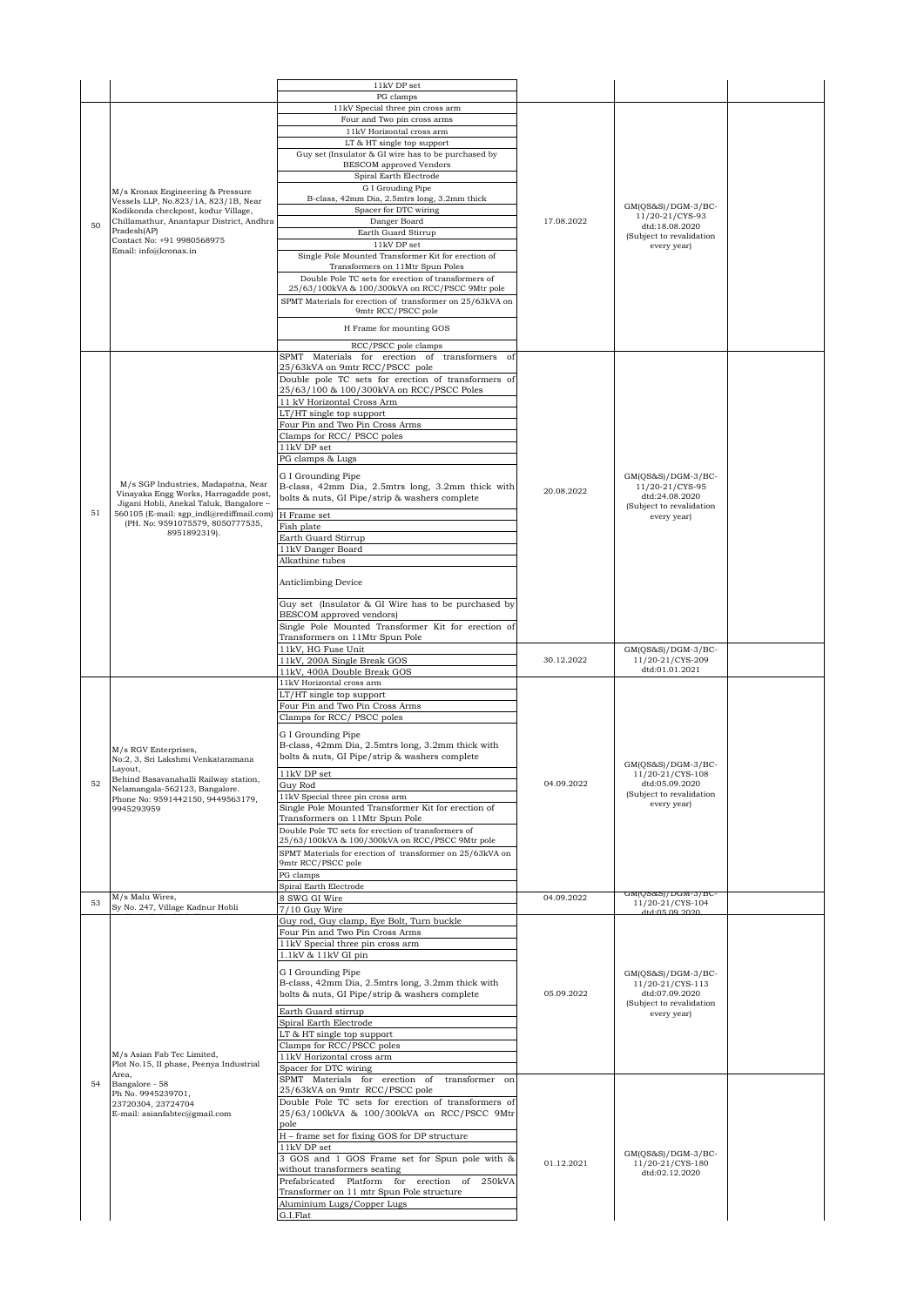|    |                                                                                     | 11kV DP set                                                                                         |            |                                            |  |
|----|-------------------------------------------------------------------------------------|-----------------------------------------------------------------------------------------------------|------------|--------------------------------------------|--|
|    |                                                                                     | PG clamps<br>11kV Special three pin cross arm                                                       |            |                                            |  |
|    |                                                                                     | Four and Two pin cross arms                                                                         |            |                                            |  |
|    |                                                                                     | 11kV Horizontal cross arm                                                                           |            |                                            |  |
|    |                                                                                     | LT & HT single top support                                                                          |            |                                            |  |
|    |                                                                                     | Guy set (Insulator & GI wire has to be purchased by<br><b>BESCOM</b> approved Vendors               |            |                                            |  |
|    |                                                                                     | Spiral Earth Electrode                                                                              |            |                                            |  |
|    | M/s Kronax Engineering & Pressure                                                   | G I Grouding Pipe                                                                                   |            |                                            |  |
|    | Vessels LLP, No.823/1A, 823/1B, Near                                                | B-class, 42mm Dia, 2.5mtrs long, 3.2mm thick                                                        |            | GM(QS&S)/DGM-3/BC-                         |  |
| 50 | Kodikonda checkpost, kodur Village,<br>Chillamathur, Anantapur District, Andhra     | Spacer for DTC wiring<br>Danger Board                                                               | 17.08.2022 | 11/20-21/CYS-93                            |  |
|    | Pradesh(AP)                                                                         | Earth Guard Stirrup                                                                                 |            | dtd:18.08.2020<br>(Subject to revalidation |  |
|    | Contact No: +91 9980568975<br>Email: info@kronax.in                                 | $11\mathrm{kV}$ DP set                                                                              |            | every year)                                |  |
|    |                                                                                     | Single Pole Mounted Transformer Kit for erection of<br>Transformers on 11Mtr Spun Poles             |            |                                            |  |
|    |                                                                                     | Double Pole TC sets for erection of transformers of                                                 |            |                                            |  |
|    |                                                                                     | 25/63/100kVA & 100/300kVA on RCC/PSCC 9Mtr pole                                                     |            |                                            |  |
|    |                                                                                     | SPMT Materials for erection of transformer on 25/63kVA on<br>9mtr RCC/PSCC pole                     |            |                                            |  |
|    |                                                                                     |                                                                                                     |            |                                            |  |
|    |                                                                                     | H Frame for mounting GOS                                                                            |            |                                            |  |
|    |                                                                                     | RCC/PSCC pole clamps<br>SPMT Materials for erection of transformers of                              |            |                                            |  |
|    |                                                                                     | 25/63kVA on 9mtr RCC/PSCC pole                                                                      |            |                                            |  |
|    |                                                                                     | Double pole TC sets for erection of transformers of                                                 |            |                                            |  |
|    |                                                                                     | 25/63/100 & 100/300kVA on RCC/PSCC Poles                                                            |            |                                            |  |
|    |                                                                                     | 11 kV Horizontal Cross Arm<br>LT/HT single top support                                              |            |                                            |  |
|    |                                                                                     | Four Pin and Two Pin Cross Arms                                                                     |            |                                            |  |
|    |                                                                                     | Clamps for RCC/PSCC poles                                                                           |            |                                            |  |
|    |                                                                                     | 11kV DP set                                                                                         |            |                                            |  |
|    |                                                                                     | PG clamps & Lugs                                                                                    |            |                                            |  |
|    | M/s SGP Industries, Madapatna, Near                                                 | G I Grounding Pipe                                                                                  |            | GM(QS&S)/DGM-3/BC-                         |  |
|    | Vinayaka Engg Works, Harragadde post.                                               | B-class, 42mm Dia, 2.5mtrs long, 3.2mm thick with<br>bolts & nuts, GI Pipe/strip & washers complete | 20.08.2022 | 11/20-21/CYS-95<br>dtd:24.08.2020          |  |
| 51 | Jigani Hobli, Anekal Taluk, Bangalore -<br>560105 (E-mail: sgp_indl@rediffmail.com) | H Frame set                                                                                         |            | (Subject to revalidation                   |  |
|    | (PH. No: 9591075579, 8050777535,                                                    | Fish plate                                                                                          |            | every year)                                |  |
|    | 8951892319).                                                                        | Earth Guard Stirrup                                                                                 |            |                                            |  |
|    |                                                                                     | 11kV Danger Board                                                                                   |            |                                            |  |
|    |                                                                                     | Alkathine tubes                                                                                     |            |                                            |  |
|    |                                                                                     | Anticlimbing Device                                                                                 |            |                                            |  |
|    |                                                                                     |                                                                                                     |            |                                            |  |
|    |                                                                                     | Guy set (Insulator & GI Wire has to be purchased by<br>BESCOM approved vendors)                     |            |                                            |  |
|    |                                                                                     | Single Pole Mounted Transformer Kit for erection of                                                 |            |                                            |  |
|    |                                                                                     | Transformers on 11Mtr Spun Pole                                                                     |            |                                            |  |
|    |                                                                                     | 11kV, HG Fuse Unit                                                                                  | 30.12.2022 | GM(QS&S)/DGM-3/BC-<br>11/20-21/CYS-209     |  |
|    |                                                                                     | 11kV, 200A Single Break GOS<br>11kV, 400A Double Break GOS                                          |            | dtd:01.01.2021                             |  |
|    |                                                                                     | 11kV Horizontal cross arm                                                                           |            |                                            |  |
|    |                                                                                     | $LT/HT$ single top support                                                                          |            |                                            |  |
|    |                                                                                     | Four Pin and Two Pin Cross Arms<br>Clamps for RCC/PSCC poles                                        |            |                                            |  |
|    |                                                                                     |                                                                                                     |            |                                            |  |
|    |                                                                                     | G I Grounding Pipe<br>B-class, 42mm Dia, 2.5mtrs long, 3.2mm thick with                             |            |                                            |  |
|    | M/s RGV Enterprises,<br>No:2, 3, Sri Lakshmi Venkataramana                          | bolts & nuts, GI Pipe/strip & washers complete                                                      |            |                                            |  |
|    | Layout,                                                                             | 11kV DP set                                                                                         |            | GM(QS&S)/DGM-3/BC-<br>11/20-21/CYS-108     |  |
| 52 | Behind Basavanahalli Railway station,<br>Nelamangala-562123, Bangalore.             | Guy Rod                                                                                             | 04.09.2022 | dtd:05.09.2020                             |  |
|    | Phone No: 9591442150, 9449563179,                                                   | 11kV Special three pin cross arm                                                                    |            | (Subject to revalidation<br>every year)    |  |
|    | 9945293959                                                                          | Single Pole Mounted Transformer Kit for erection of<br>Transformers on 11Mtr Spun Pole              |            |                                            |  |
|    |                                                                                     | Double Pole TC sets for erection of transformers of                                                 |            |                                            |  |
|    |                                                                                     | 25/63/100kVA & 100/300kVA on RCC/PSCC 9Mtr pole                                                     |            |                                            |  |
|    |                                                                                     | SPMT Materials for erection of transformer on 25/63kVA on<br>9mtr RCC/PSCC pole                     |            |                                            |  |
|    |                                                                                     | PG clamps                                                                                           |            |                                            |  |
|    |                                                                                     | Spiral Earth Electrode                                                                              |            |                                            |  |
| 53 | M/s Malu Wires,<br>Sy No. 247, Village Kadnur Hobli                                 | 8 SWG GI Wire                                                                                       | 04.09.2022 | wiliyowo)\ nawi-o\ pr<br>11/20-21/CYS-104  |  |
|    |                                                                                     | 7/10 Guy Wire<br>Guy rod, Guy clamp, Eye Bolt, Turn buckle                                          |            | dtd:05.09.2020                             |  |
|    |                                                                                     | Four Pin and Two Pin Cross Arms                                                                     |            |                                            |  |
|    |                                                                                     | 11kV Special three pin cross arm                                                                    |            |                                            |  |
|    |                                                                                     | 1.1kV & 11kV GI pin                                                                                 |            |                                            |  |
|    |                                                                                     | G I Grounding Pipe                                                                                  |            | GM(QS&S)/DGM-3/BC-                         |  |
|    |                                                                                     | B-class, 42mm Dia, 2.5mtrs long, 3.2mm thick with<br>bolts & nuts, GI Pipe/strip & washers complete | 05.09.2022 | 11/20-21/CYS-113<br>dtd:07.09.2020         |  |
|    |                                                                                     |                                                                                                     |            | (Subject to revalidation                   |  |
|    |                                                                                     | Earth Guard stirrup<br>Spiral Earth Electrode                                                       |            | every year)                                |  |
|    |                                                                                     | LT & HT single top support                                                                          |            |                                            |  |
|    |                                                                                     | Clamps for RCC/PSCC poles                                                                           |            |                                            |  |
|    | M/s Asian Fab Tec Limited,<br>Plot No.15, II phase, Peenya Industrial               | 11kV Horizontal cross arm<br>Spacer for DTC wiring                                                  |            |                                            |  |
|    | Area,                                                                               | SPMT Materials for erection of<br>transformer on                                                    |            |                                            |  |
| 54 | Bangalore - 58<br>Ph No. 9945239701,                                                | 25/63kVA on 9mtr RCC/PSCC pole                                                                      |            |                                            |  |
|    | 23720304, 23724704                                                                  | Double Pole TC sets for erection of transformers of                                                 |            |                                            |  |
|    | E-mail: asianfabtec@gmail.com                                                       | 25/63/100kVA & 100/300kVA on RCC/PSCC 9Mtr<br>pole                                                  |            |                                            |  |
|    |                                                                                     | H - frame set for fixing GOS for DP structure                                                       |            |                                            |  |
|    |                                                                                     | 11kV DP set                                                                                         |            | $GM(QS&S)/DGM-3/BC-$                       |  |
|    |                                                                                     | 3 GOS and 1 GOS Frame set for Spun pole with &<br>without transformers seating                      | 01.12.2021 | 11/20-21/CYS-180                           |  |
|    |                                                                                     | Prefabricated Platform for erection of 250kVA                                                       |            | dtd:02.12.2020                             |  |
|    |                                                                                     | Transformer on 11 mtr Spun Pole structure                                                           |            |                                            |  |
|    |                                                                                     | Aluminium Lugs/Copper Lugs                                                                          |            |                                            |  |
|    |                                                                                     | G.I.Flat                                                                                            |            |                                            |  |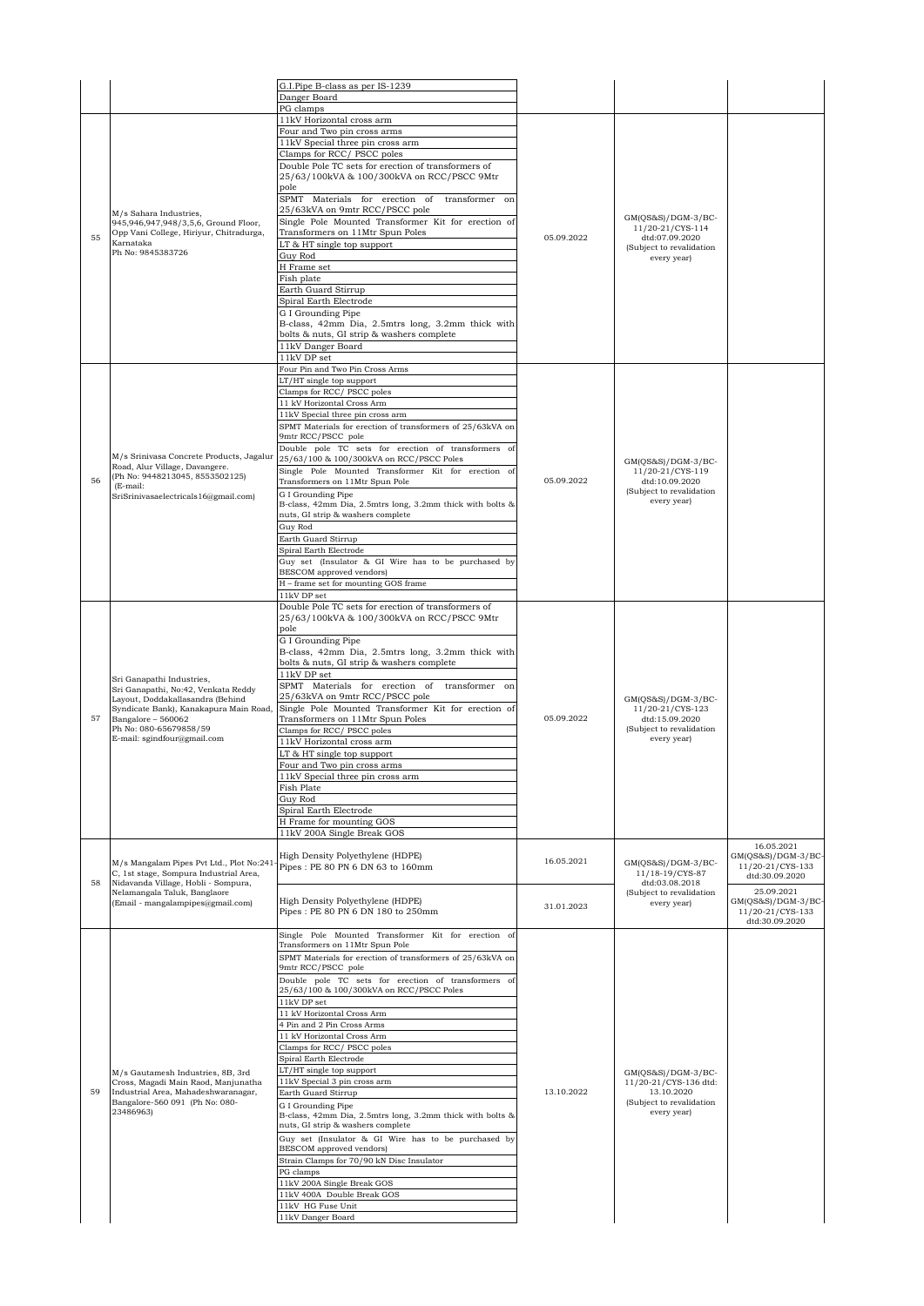|    |                                                                                                                                                                                                                               | G.I.Pipe B-class as per IS-1239<br>Danger Board                                                                                                                                                                                                                                                                                                                                                                                                                                                                                                                                                                                                                                                                                                                                                                                                                                                              |            |                                                                                                      |                                                                                      |
|----|-------------------------------------------------------------------------------------------------------------------------------------------------------------------------------------------------------------------------------|--------------------------------------------------------------------------------------------------------------------------------------------------------------------------------------------------------------------------------------------------------------------------------------------------------------------------------------------------------------------------------------------------------------------------------------------------------------------------------------------------------------------------------------------------------------------------------------------------------------------------------------------------------------------------------------------------------------------------------------------------------------------------------------------------------------------------------------------------------------------------------------------------------------|------------|------------------------------------------------------------------------------------------------------|--------------------------------------------------------------------------------------|
|    |                                                                                                                                                                                                                               | PG clamps                                                                                                                                                                                                                                                                                                                                                                                                                                                                                                                                                                                                                                                                                                                                                                                                                                                                                                    |            |                                                                                                      |                                                                                      |
| 55 | M/s Sahara Industries,<br>945,946,947,948/3,5,6, Ground Floor,<br>Opp Vani College, Hiriyur, Chitradurga,<br>Karnataka                                                                                                        | 11kV Horizontal cross arm<br>Four and Two pin cross arms<br>11kV Special three pin cross arm<br>Clamps for RCC/PSCC poles<br>Double Pole TC sets for erection of transformers of<br>25/63/100kVA & 100/300kVA on RCC/PSCC 9Mtr<br>pole<br>SPMT Materials for erection of transformer on<br>25/63kVA on 9mtr RCC/PSCC pole<br>Single Pole Mounted Transformer Kit for erection of<br>Transformers on 11Mtr Spun Poles<br>LT & HT single top support                                                                                                                                                                                                                                                                                                                                                                                                                                                           | 05.09.2022 | GM(QS&S)/DGM-3/BC-<br>11/20-21/CYS-114<br>dtd:07.09.2020<br>(Subject to revalidation                 |                                                                                      |
|    | Ph No: 9845383726                                                                                                                                                                                                             | Guy Rod<br>H Frame set<br>Fish plate<br>Earth Guard Stirrup<br>Spiral Earth Electrode<br>G I Grounding Pipe<br>B-class, 42mm Dia, 2.5mtrs long, 3.2mm thick with<br>bolts & nuts, GI strip & washers complete<br>11kV Danger Board<br>11kV DP set                                                                                                                                                                                                                                                                                                                                                                                                                                                                                                                                                                                                                                                            |            | every year)                                                                                          |                                                                                      |
| 56 | M/s Srinivasa Concrete Products, Jagalus<br>Road, Alur Village, Davangere.<br>(Ph No: 9448213045, 8553502125)<br>(E-mail:<br>SriSrinivasaelectricals16@gmail.com)                                                             | Four Pin and Two Pin Cross Arms<br>LT/HT single top support<br>Clamps for RCC/ PSCC poles<br>11 kV Horizontal Cross Arm<br>11kV Special three pin cross arm<br>SPMT Materials for erection of transformers of 25/63kVA on<br>9mtr RCC/PSCC pole<br>Double pole TC sets for erection of transformers of<br>25/63/100 & 100/300kVA on RCC/PSCC Poles<br>Single Pole Mounted Transformer Kit for erection of<br>Transformers on 11Mtr Spun Pole<br>G I Grounding Pipe<br>B-class, 42mm Dia, 2.5mtrs long, 3.2mm thick with bolts &<br>nuts, GI strip & washers complete<br>Guy Rod<br>Earth Guard Stirrup<br>Spiral Earth Electrode<br>Guy set (Insulator & GI Wire has to be purchased by<br>BESCOM approved vendors)<br>H - frame set for mounting GOS frame<br>11kV DP set                                                                                                                                   | 05.09.2022 | GM(QS&S)/DGM-3/BC-<br>11/20-21/CYS-119<br>dtd:10.09.2020<br>(Subject to revalidation<br>every year)  |                                                                                      |
| 57 | Sri Ganapathi Industries,<br>Sri Ganapathi, No:42, Venkata Reddy<br>Layout, Doddakallasandra (Behind<br>Syndicate Bank), Kanakapura Main Road,<br>Bangalore - 560062<br>Ph No: 080-65679858/59<br>E-mail: sgindfour@gmail.com | Double Pole TC sets for erection of transformers of<br>25/63/100kVA & 100/300kVA on RCC/PSCC 9Mtr<br>pole<br>G I Grounding Pipe<br>B-class, 42mm Dia, 2.5mtrs long, 3.2mm thick with<br>bolts & nuts, GI strip & washers complete<br>11kV DP set<br>SPMT Materials for erection of transformer on<br>25/63kVA on 9mtr RCC/PSCC pole<br>Single Pole Mounted Transformer Kit for erection of<br>Transformers on 11Mtr Spun Poles<br>Clamps for RCC/ PSCC poles<br>11kV Horizontal cross arm<br>LT & HT single top support<br>Four and Two pin cross arms<br>11kV Special three pin cross arm<br>Fish Plate<br>Guy Rod<br>Spiral Earth Electrode<br>H Frame for mounting GOS<br>11kV 200A Single Break GOS                                                                                                                                                                                                      | 05.09.2022 | GM(QS&S)/DGM-3/BC-<br>11/20-21/CYS-123<br>dtd:15.09.2020<br>(Subject to revalidation<br>every year)  |                                                                                      |
| 58 | M/s Mangalam Pipes Pvt Ltd., Plot No:241<br>C, 1st stage, Sompura Industrial Area,<br>Nidavanda Village, Hobli - Sompura,<br>Nelamangala Taluk, Banglaore                                                                     | High Density Polyethylene (HDPE)<br>Pipes: PE 80 PN 6 DN 63 to 160mm                                                                                                                                                                                                                                                                                                                                                                                                                                                                                                                                                                                                                                                                                                                                                                                                                                         | 16.05.2021 | $GM(QS&S)/DGM-3/BC-$<br>11/18-19/CYS-87<br>dtd:03.08.2018<br>(Subject to revalidation                | 16.05.2021<br>GM(QS&S)/DGM-3/BC-<br>11/20-21/CYS-133<br>dtd:30.09.2020<br>25.09.2021 |
|    | (Email - mangalampipes@gmail.com)                                                                                                                                                                                             | High Density Polyethylene (HDPE)<br>Pipes: PE 80 PN 6 DN 180 to 250mm                                                                                                                                                                                                                                                                                                                                                                                                                                                                                                                                                                                                                                                                                                                                                                                                                                        | 31.01.2023 | every year)                                                                                          | $GM(OS&S)/DGM-3/BC-$<br>11/20-21/CYS-133<br>dtd:30.09.2020                           |
| 59 | M/s Gautamesh Industries, 8B, 3rd<br>Cross, Magadi Main Raod, Manjunatha<br>Industrial Area, Mahadeshwaranagar,<br>Bangalore-560 091 (Ph No: 080-<br>23486963)                                                                | Single Pole Mounted Transformer Kit for erection of<br>Transformers on 11Mtr Spun Pole<br>SPMT Materials for erection of transformers of 25/63kVA on<br>9mtr RCC/PSCC pole<br>Double pole TC sets for erection of transformers of<br>25/63/100 & 100/300kVA on RCC/PSCC Poles<br>11kV DP set<br>11 kV Horizontal Cross Arm<br>4 Pin and 2 Pin Cross Arms<br>11 kV Horizontal Cross Arm<br>Clamps for RCC/ PSCC poles<br>Spiral Earth Electrode<br>LT/HT single top support<br>11kV Special 3 pin cross arm<br>Earth Guard Stirrup<br>G I Grounding Pipe<br>B-class, 42mm Dia, 2.5mtrs long, 3.2mm thick with bolts &<br>nuts, GI strip & washers complete<br>Guy set (Insulator & GI Wire has to be purchased by<br>BESCOM approved vendors)<br>Strain Clamps for 70/90 kN Disc Insulator<br>PG clamps<br>11kV 200A Single Break GOS<br>11kV 400A Double Break GOS<br>11kV HG Fuse Unit<br>11kV Danger Board | 13.10.2022 | GM(QS&S)/DGM-3/BC-<br>11/20-21/CYS-136 dtd:<br>13.10.2020<br>(Subject to revalidation<br>every year) |                                                                                      |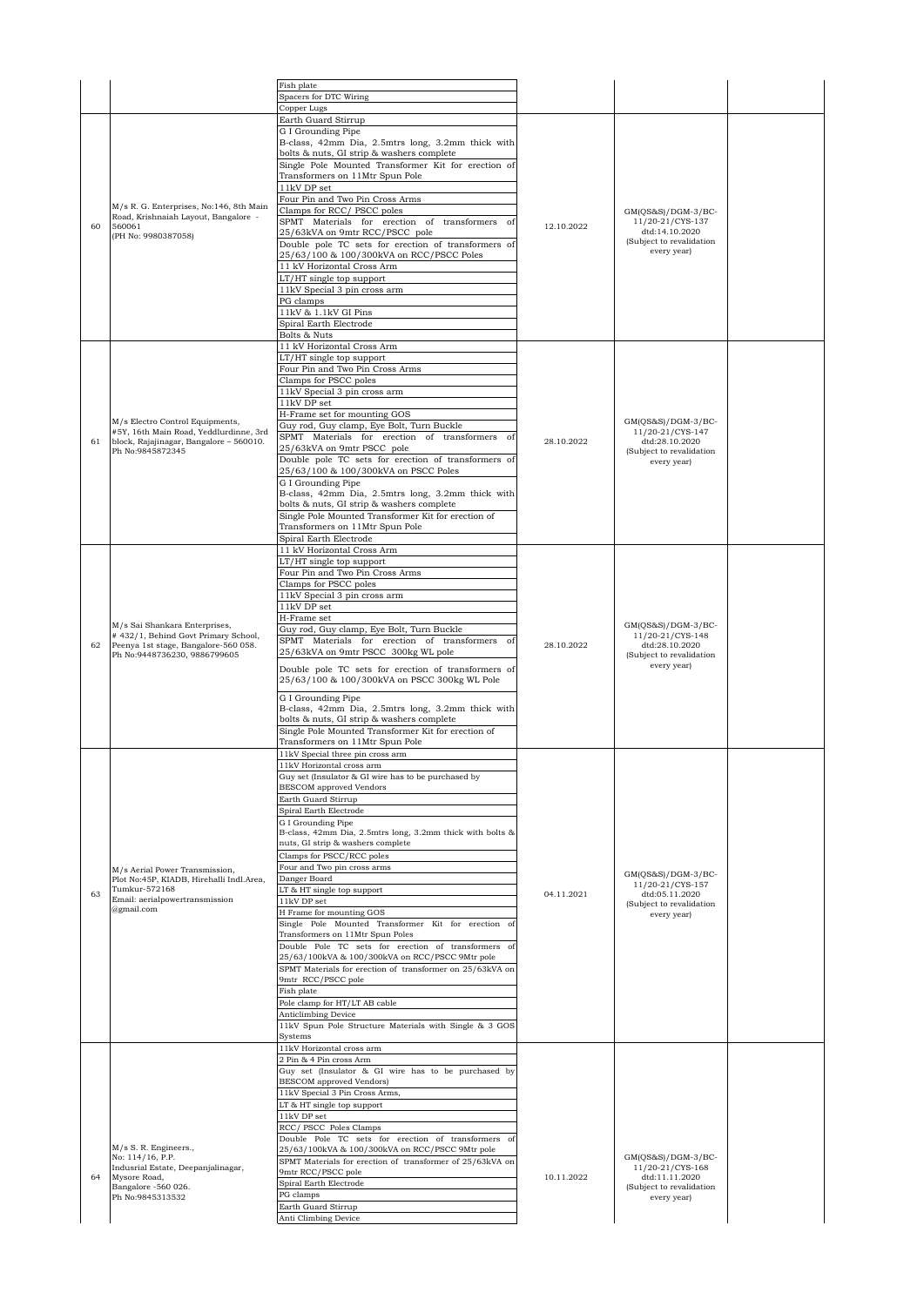|    |                                                                            | Fish plate                                                                                                   |            |                                            |  |
|----|----------------------------------------------------------------------------|--------------------------------------------------------------------------------------------------------------|------------|--------------------------------------------|--|
|    |                                                                            | Spacers for DTC Wiring<br>Copper Lugs                                                                        |            |                                            |  |
|    |                                                                            | Earth Guard Stirrup                                                                                          |            |                                            |  |
|    |                                                                            | G I Grounding Pipe                                                                                           |            |                                            |  |
|    |                                                                            | B-class, 42mm Dia, 2.5mtrs long, 3.2mm thick with<br>bolts & nuts, GI strip & washers complete               |            |                                            |  |
|    |                                                                            | Single Pole Mounted Transformer Kit for erection of                                                          |            |                                            |  |
|    |                                                                            | Transformers on 11Mtr Spun Pole                                                                              |            |                                            |  |
|    |                                                                            | 11kV DP set                                                                                                  |            |                                            |  |
|    | M/s R. G. Enterprises, No:146, 8th Main                                    | Four Pin and Two Pin Cross Arms<br>Clamps for RCC/PSCC poles                                                 |            | $GM(QS&S)/DGM-3/BC-$                       |  |
| 60 | Road, Krishnaiah Layout, Bangalore -<br>560061                             | SPMT Materials for erection of transformers of                                                               | 12.10.2022 | 11/20-21/CYS-137                           |  |
|    | (PH No: 9980387058)                                                        | 25/63kVA on 9mtr RCC/PSCC pole                                                                               |            | dtd:14.10.2020<br>(Subject to revalidation |  |
|    |                                                                            | Double pole TC sets for erection of transformers of<br>25/63/100 & 100/300kVA on RCC/PSCC Poles              |            | every year)                                |  |
|    |                                                                            | 11 kV Horizontal Cross Arm                                                                                   |            |                                            |  |
|    |                                                                            | LT/HT single top support                                                                                     |            |                                            |  |
|    |                                                                            | 11kV Special 3 pin cross arm<br>PG clamps                                                                    |            |                                            |  |
|    |                                                                            | 11kV & 1.1kV GI Pins                                                                                         |            |                                            |  |
|    |                                                                            | Spiral Earth Electrode                                                                                       |            |                                            |  |
|    |                                                                            | Bolts & Nuts<br>11 kV Horizontal Cross Arm                                                                   |            |                                            |  |
|    |                                                                            | LT/HT single top support                                                                                     |            |                                            |  |
|    |                                                                            | Four Pin and Two Pin Cross Arms                                                                              |            |                                            |  |
|    |                                                                            | Clamps for PSCC poles<br>11kV Special 3 pin cross arm                                                        |            |                                            |  |
|    |                                                                            | 11kV DP set                                                                                                  |            |                                            |  |
|    |                                                                            | H-Frame set for mounting GOS                                                                                 |            |                                            |  |
|    | M/s Electro Control Equipments,<br>#5Y, 16th Main Road, Yeddlurdinne, 3rd  | Guy rod, Guy clamp, Eye Bolt, Turn Buckle                                                                    |            | $GM(QS&S)/DGM-3/BC-$<br>11/20-21/CYS-147   |  |
| 61 | block, Rajajinagar, Bangalore - 560010.                                    | SPMT Materials for erection of transformers of<br>25/63kVA on 9mtr PSCC pole                                 | 28.10.2022 | dtd:28.10.2020                             |  |
|    | Ph No:9845872345                                                           | Double pole TC sets for erection of transformers of                                                          |            | (Subject to revalidation<br>every year)    |  |
|    |                                                                            | 25/63/100 & 100/300kVA on PSCC Poles                                                                         |            |                                            |  |
|    |                                                                            | G I Grounding Pipe<br>B-class, 42mm Dia, 2.5mtrs long, 3.2mm thick with                                      |            |                                            |  |
|    |                                                                            | bolts & nuts, GI strip & washers complete                                                                    |            |                                            |  |
|    |                                                                            | Single Pole Mounted Transformer Kit for erection of                                                          |            |                                            |  |
|    |                                                                            | Transformers on 11Mtr Spun Pole<br>Spiral Earth Electrode                                                    |            |                                            |  |
|    |                                                                            | 11 kV Horizontal Cross Arm                                                                                   |            |                                            |  |
|    |                                                                            | LT/HT single top support                                                                                     |            |                                            |  |
|    |                                                                            | Four Pin and Two Pin Cross Arms                                                                              |            |                                            |  |
|    |                                                                            | Clamps for PSCC poles<br>11kV Special 3 pin cross arm                                                        |            |                                            |  |
|    | M/s Sai Shankara Enterprises,                                              | $11\mathrm{kV}$ DP set                                                                                       |            |                                            |  |
|    |                                                                            | H-Frame set                                                                                                  |            | $GM(QS&S)/DGM-3/BC-$                       |  |
|    | #432/1, Behind Govt Primary School,                                        | Guy rod, Guy clamp, Eye Bolt, Turn Buckle<br>SPMT Materials for erection of transformers of                  |            | 11/20-21/CYS-148                           |  |
| 62 | Peenya 1st stage, Bangalore-560 058.<br>Ph No:9448736230, 9886799605       | 25/63kVA on 9mtr PSCC 300kg WL pole                                                                          | 28.10.2022 | dtd:28.10.2020<br>(Subject to revalidation |  |
|    |                                                                            | Double pole TC sets for erection of transformers of                                                          |            | every year)                                |  |
|    |                                                                            | 25/63/100 & 100/300kVA on PSCC 300kg WL Pole                                                                 |            |                                            |  |
|    |                                                                            | G I Grounding Pipe                                                                                           |            |                                            |  |
|    |                                                                            | B-class, 42mm Dia, 2.5mtrs long, 3.2mm thick with                                                            |            |                                            |  |
|    |                                                                            | bolts & nuts, GI strip & washers complete                                                                    |            |                                            |  |
|    |                                                                            | Single Pole Mounted Transformer Kit for erection of<br>Transformers on 11Mtr Spun Pole                       |            |                                            |  |
|    |                                                                            | 11kV Special three pin cross arm                                                                             |            |                                            |  |
|    |                                                                            | 11kV Horizontal cross arm                                                                                    |            |                                            |  |
|    |                                                                            | Guy set (Insulator & GI wire has to be purchased by<br><b>BESCOM</b> approved Vendors                        |            |                                            |  |
|    |                                                                            | Earth Guard Stirrup                                                                                          |            |                                            |  |
|    |                                                                            | Spiral Earth Electrode                                                                                       |            |                                            |  |
|    |                                                                            | G I Grounding Pipe<br>B-class, 42mm Dia, 2.5mtrs long, 3.2mm thick with bolts &                              |            |                                            |  |
|    |                                                                            | nuts, GI strip & washers complete                                                                            |            |                                            |  |
|    |                                                                            | Clamps for PSCC/RCC poles                                                                                    |            |                                            |  |
|    | M/s Aerial Power Transmission,<br>Plot No:45P, KIADB, Hirehalli Indl.Area, | Four and Two pin cross arms<br>Danger Board                                                                  |            | $GM(QS&S)/DGM-3/BC-$                       |  |
| 63 | Tumkur-572168                                                              | LT & HT single top support                                                                                   | 04.11.2021 | 11/20-21/CYS-157<br>dtd:05.11.2020         |  |
|    | Email: aerialpowertransmission<br>@gmail.com                               | 11kV DP set                                                                                                  |            | (Subject to revalidation                   |  |
|    |                                                                            | H Frame for mounting GOS<br>Single Pole Mounted Transformer Kit for erection of                              |            | every year)                                |  |
|    |                                                                            | Transformers on 11Mtr Spun Poles                                                                             |            |                                            |  |
|    |                                                                            | Double Pole TC sets for erection of transformers of                                                          |            |                                            |  |
|    |                                                                            | 25/63/100kVA & 100/300kVA on RCC/PSCC 9Mtr pole<br>SPMT Materials for erection of transformer on 25/63kVA on |            |                                            |  |
|    |                                                                            | 9mtr RCC/PSCC pole                                                                                           |            |                                            |  |
|    |                                                                            | Fish plate                                                                                                   |            |                                            |  |
|    |                                                                            | Pole clamp for HT/LT AB cable                                                                                |            |                                            |  |
|    |                                                                            | <b>Anticlimbing Device</b><br>11kV Spun Pole Structure Materials with Single & 3 GOS                         |            |                                            |  |
|    |                                                                            | Systems                                                                                                      |            |                                            |  |
|    |                                                                            | 11kV Horizontal cross arm<br>2 Pin & 4 Pin cross Arm                                                         |            |                                            |  |
|    |                                                                            | Guy set (Insulator & GI wire has to be purchased by                                                          |            |                                            |  |
|    |                                                                            | <b>BESCOM</b> approved Vendors)                                                                              |            |                                            |  |
|    |                                                                            | 11kV Special 3 Pin Cross Arms,                                                                               |            |                                            |  |
|    |                                                                            | LT & HT single top support<br>11kV DP set                                                                    |            |                                            |  |
|    |                                                                            | RCC/ PSCC Poles Clamps                                                                                       |            |                                            |  |
|    | M/s S. R. Engineers.,                                                      | Double Pole TC sets for erection of transformers of                                                          |            |                                            |  |
|    | No: 114/16, P.P.                                                           | 25/63/100kVA & 100/300kVA on RCC/PSCC 9Mtr pole<br>SPMT Materials for erection of transformer of 25/63kVA on |            | $GM(QS&S)/DGM-3/BC-$                       |  |
| 64 | Indusrial Estate, Deepanjalinagar,<br>Mysore Road,                         | 9mtr RCC/PSCC pole                                                                                           | 10.11.2022 | 11/20-21/CYS-168<br>dtd:11.11.2020         |  |
|    | Bangalore -560 026.                                                        | Spiral Earth Electrode                                                                                       |            | (Subject to revalidation                   |  |
|    | Ph No:9845313532                                                           | PG clamps<br>Earth Guard Stirrup                                                                             |            | every year)                                |  |
|    |                                                                            | Anti Climbing Device                                                                                         |            |                                            |  |
|    |                                                                            |                                                                                                              |            |                                            |  |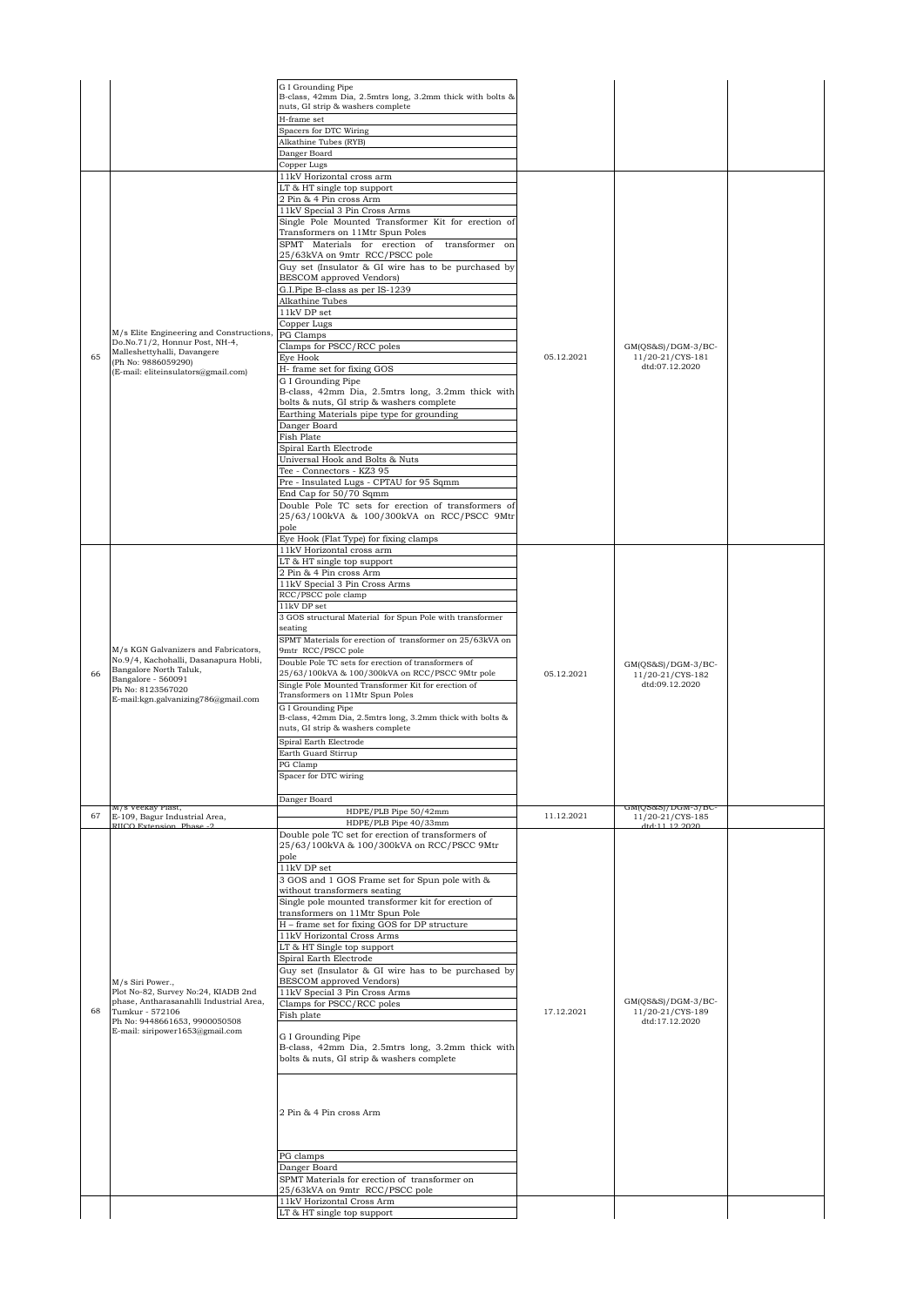|    |                                                                                                                                                                       | G I Grounding Pipe                                                                                     |            |                                                            |  |
|----|-----------------------------------------------------------------------------------------------------------------------------------------------------------------------|--------------------------------------------------------------------------------------------------------|------------|------------------------------------------------------------|--|
|    |                                                                                                                                                                       | B-class, 42mm Dia, 2.5mtrs long, 3.2mm thick with bolts &                                              |            |                                                            |  |
|    |                                                                                                                                                                       | nuts, GI strip & washers complete<br>H-frame set                                                       |            |                                                            |  |
|    |                                                                                                                                                                       | Spacers for DTC Wiring                                                                                 |            |                                                            |  |
|    |                                                                                                                                                                       | Alkathine Tubes (RYB)                                                                                  |            |                                                            |  |
|    |                                                                                                                                                                       | Danger Board                                                                                           |            |                                                            |  |
|    |                                                                                                                                                                       | Copper Lugs<br>11kV Horizontal cross arm                                                               |            |                                                            |  |
|    |                                                                                                                                                                       | LT & HT single top support                                                                             |            |                                                            |  |
|    |                                                                                                                                                                       | 2 Pin & 4 Pin cross Arm                                                                                |            |                                                            |  |
|    |                                                                                                                                                                       | 11kV Special 3 Pin Cross Arms<br>Single Pole Mounted Transformer Kit for erection of                   |            |                                                            |  |
|    |                                                                                                                                                                       | Transformers on 11Mtr Spun Poles                                                                       |            |                                                            |  |
|    |                                                                                                                                                                       | SPMT Materials for erection of<br>transformer on                                                       |            |                                                            |  |
|    |                                                                                                                                                                       | 25/63kVA on 9mtr RCC/PSCC pole                                                                         |            |                                                            |  |
|    |                                                                                                                                                                       | Guy set (Insulator & GI wire has to be purchased by<br><b>BESCOM</b> approved Vendors)                 |            |                                                            |  |
|    |                                                                                                                                                                       | G.I.Pipe B-class as per IS-1239                                                                        |            |                                                            |  |
|    | M/s Elite Engineering and Constructions,<br>Do.No.71/2, Honnur Post, NH-4,<br>Malleshettyhalli, Davangere<br>(Ph No: 9886059290)                                      | Alkathine Tubes                                                                                        |            | $GM(QS&S)/DGM-3/BC-$<br>11/20-21/CYS-181                   |  |
|    |                                                                                                                                                                       | 11kV DP set                                                                                            |            |                                                            |  |
|    |                                                                                                                                                                       | Copper Lugs<br>PG Clamps                                                                               |            |                                                            |  |
|    |                                                                                                                                                                       | Clamps for PSCC/RCC poles                                                                              | 05.12.2021 |                                                            |  |
| 65 |                                                                                                                                                                       | Eye Hook                                                                                               |            |                                                            |  |
|    | (E-mail: eliteinsulators@gmail.com)                                                                                                                                   | H- frame set for fixing GOS                                                                            |            | dtd:07.12.2020                                             |  |
|    |                                                                                                                                                                       | G I Grounding Pipe<br>B-class, 42mm Dia, 2.5mtrs long, 3.2mm thick with                                |            |                                                            |  |
|    |                                                                                                                                                                       | bolts & nuts, GI strip & washers complete                                                              |            |                                                            |  |
|    |                                                                                                                                                                       | Earthing Materials pipe type for grounding                                                             |            |                                                            |  |
|    |                                                                                                                                                                       | Danger Board<br>Fish Plate                                                                             |            |                                                            |  |
|    |                                                                                                                                                                       | Spiral Earth Electrode                                                                                 |            |                                                            |  |
|    |                                                                                                                                                                       | Universal Hook and Bolts & Nuts                                                                        |            |                                                            |  |
|    |                                                                                                                                                                       | Tee - Connectors - KZ3 95                                                                              |            |                                                            |  |
|    |                                                                                                                                                                       | Pre - Insulated Lugs - CPTAU for 95 Sqmm<br>End Cap for 50/70 Sqmm                                     |            |                                                            |  |
|    |                                                                                                                                                                       | Double Pole TC sets for erection of transformers of                                                    |            |                                                            |  |
|    |                                                                                                                                                                       | 25/63/100kVA & 100/300kVA on RCC/PSCC 9Mtr                                                             |            |                                                            |  |
|    |                                                                                                                                                                       | pole<br>Eye Hook (Flat Type) for fixing clamps                                                         |            |                                                            |  |
|    |                                                                                                                                                                       | 11kV Horizontal cross arm                                                                              |            |                                                            |  |
|    | M/s KGN Galvanizers and Fabricators,<br>No.9/4, Kachohalli, Dasanapura Hobli,<br>Bangalore North Taluk,<br>Bangalore - 560091                                         | LT & HT single top support                                                                             |            |                                                            |  |
|    |                                                                                                                                                                       | 2 Pin & 4 Pin cross Arm<br>11kV Special 3 Pin Cross Arms                                               |            |                                                            |  |
|    |                                                                                                                                                                       | RCC/PSCC pole clamp                                                                                    |            |                                                            |  |
|    |                                                                                                                                                                       | 11kV DP set                                                                                            |            |                                                            |  |
|    |                                                                                                                                                                       | 3 GOS structural Material for Spun Pole with transformer<br>seating                                    | 05.12.2021 |                                                            |  |
|    |                                                                                                                                                                       | SPMT Materials for erection of transformer on 25/63kVA on                                              |            | $GM(QS&S)/DGM-3/BC-$<br>11/20-21/CYS-182<br>dtd:09.12.2020 |  |
|    |                                                                                                                                                                       | 9mtr RCC/PSCC pole                                                                                     |            |                                                            |  |
|    |                                                                                                                                                                       | Double Pole TC sets for erection of transformers of<br>25/63/100kVA & 100/300kVA on RCC/PSCC 9Mtr pole |            |                                                            |  |
| 66 |                                                                                                                                                                       | Single Pole Mounted Transformer Kit for erection of                                                    |            |                                                            |  |
|    | Ph No: 8123567020<br>E-mail:kgn.galvanizing786@gmail.com                                                                                                              | Transformers on 11Mtr Spun Poles                                                                       |            |                                                            |  |
|    |                                                                                                                                                                       | G I Grounding Pipe<br>B-class, 42mm Dia, 2.5mtrs long, 3.2mm thick with bolts &                        |            |                                                            |  |
|    |                                                                                                                                                                       | nuts, GI strip & washers complete                                                                      |            |                                                            |  |
|    |                                                                                                                                                                       | Spiral Earth Electrode                                                                                 |            |                                                            |  |
|    |                                                                                                                                                                       | Earth Guard Stirrup<br>PG Clamp                                                                        |            |                                                            |  |
|    |                                                                                                                                                                       | Spacer for DTC wiring                                                                                  |            |                                                            |  |
|    |                                                                                                                                                                       |                                                                                                        |            |                                                            |  |
|    | 17s veekay Piast,                                                                                                                                                     | Danger Board                                                                                           |            | тмі(бэогэ) \ naw-3\ pr                                     |  |
| 67 | E-109, Bagur Industrial Area,<br>RIICO Extension, Phase -2                                                                                                            | HDPE/PLB Pipe 50/42mm<br>HDPE/PLB Pipe 40/33mm                                                         | 11.12.2021 | 11/20-21/CYS-185<br>4t4-11-12-2020                         |  |
|    |                                                                                                                                                                       | Double pole TC set for erection of transformers of                                                     |            |                                                            |  |
|    |                                                                                                                                                                       | 25/63/100kVA & 100/300kVA on RCC/PSCC 9Mtr                                                             |            |                                                            |  |
|    |                                                                                                                                                                       | pole<br>11kV DP set                                                                                    |            |                                                            |  |
|    |                                                                                                                                                                       | 3 GOS and 1 GOS Frame set for Spun pole with &                                                         |            |                                                            |  |
|    |                                                                                                                                                                       | without transformers seating                                                                           |            |                                                            |  |
|    |                                                                                                                                                                       | Single pole mounted transformer kit for erection of<br>transformers on 11Mtr Spun Pole                 |            |                                                            |  |
|    |                                                                                                                                                                       | H - frame set for fixing GOS for DP structure                                                          |            |                                                            |  |
|    |                                                                                                                                                                       | 11kV Horizontal Cross Arms                                                                             |            |                                                            |  |
|    |                                                                                                                                                                       | LT & HT Single top support<br>Spiral Earth Electrode                                                   |            |                                                            |  |
|    |                                                                                                                                                                       | Guy set (Insulator & GI wire has to be purchased by                                                    |            |                                                            |  |
|    | M/s Siri Power.,                                                                                                                                                      | BESCOM approved Vendors)                                                                               |            |                                                            |  |
|    | Plot No-82, Survey No:24, KIADB 2nd<br>phase, Antharasanahlli Industrial Area,<br>Tumkur - 572106<br>Ph No: 9448661653, 9900050508<br>E-mail: siripower1653@gmail.com | 11kV Special 3 Pin Cross Arms                                                                          |            | GM(QS&S)/DGM-3/BC-                                         |  |
| 68 |                                                                                                                                                                       | Clamps for PSCC/RCC poles<br>Fish plate                                                                | 17.12.2021 | 11/20-21/CYS-189<br>dtd:17.12.2020                         |  |
|    |                                                                                                                                                                       |                                                                                                        |            |                                                            |  |
|    |                                                                                                                                                                       | G I Grounding Pipe<br>B-class, 42mm Dia, 2.5mtrs long, 3.2mm thick with                                |            |                                                            |  |
|    |                                                                                                                                                                       | bolts & nuts, GI strip & washers complete                                                              |            |                                                            |  |
|    |                                                                                                                                                                       |                                                                                                        |            |                                                            |  |
|    |                                                                                                                                                                       |                                                                                                        |            |                                                            |  |
|    |                                                                                                                                                                       |                                                                                                        |            |                                                            |  |
|    |                                                                                                                                                                       | 2 Pin & 4 Pin cross Arm                                                                                |            |                                                            |  |
|    |                                                                                                                                                                       |                                                                                                        |            |                                                            |  |
|    |                                                                                                                                                                       | PG clamps                                                                                              |            |                                                            |  |
|    |                                                                                                                                                                       | Danger Board                                                                                           |            |                                                            |  |
|    |                                                                                                                                                                       | SPMT Materials for erection of transformer on                                                          |            |                                                            |  |
|    |                                                                                                                                                                       | 25/63kVA on 9mtr RCC/PSCC pole<br>11kV Horizontal Cross Arm                                            |            |                                                            |  |
|    |                                                                                                                                                                       | LT & HT single top support                                                                             |            |                                                            |  |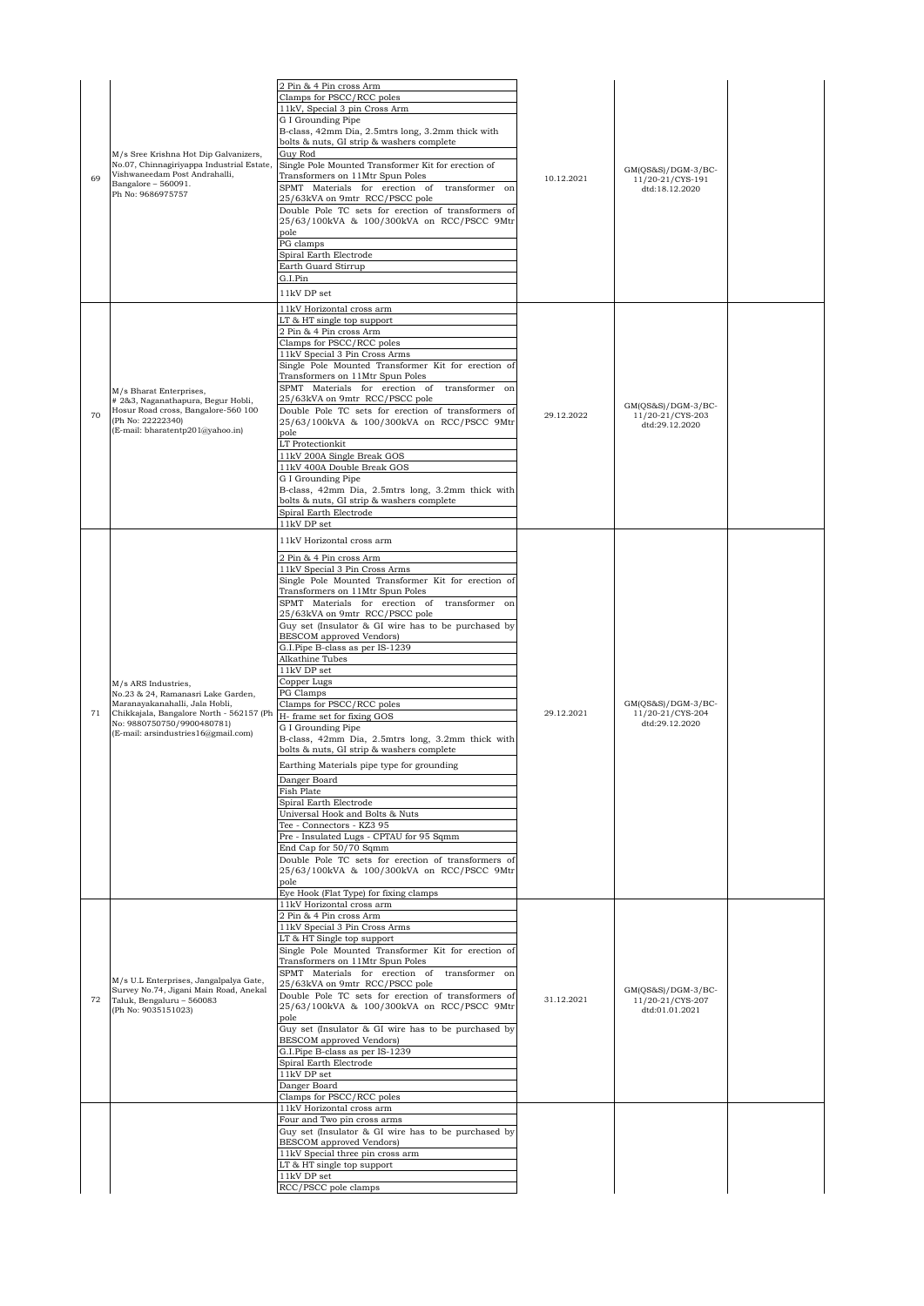| 69 | M/s Sree Krishna Hot Dip Galvanizers,<br>No.07, Chinnagiriyappa Industrial Estate,<br>Vishwaneedam Post Andrahalli,<br>Bangalore - 560091.<br>Ph No: 9686975757                                              | 2 Pin & 4 Pin cross Arm<br>Clamps for PSCC/RCC poles<br>11kV, Special 3 pin Cross Arm<br>G I Grounding Pipe<br>B-class, 42mm Dia, 2.5mtrs long, 3.2mm thick with<br>bolts & nuts, GI strip & washers complete<br>Guy Rod<br>Single Pole Mounted Transformer Kit for erection of<br>Transformers on 11Mtr Spun Poles<br>SPMT Materials for erection of transformer on<br>25/63kVA on 9mtr RCC/PSCC pole<br>Double Pole TC sets for erection of transformers of<br>25/63/100kVA & 100/300kVA on RCC/PSCC 9Mtr<br>pole<br>PG clamps<br>Spiral Earth Electrode<br>Earth Guard Stirrup<br>G.I.Pin<br>11kV DP set                                                                                                                                                                                                                                                                                                                                                                                                                                                      | 10.12.2021 | $GM(QS&S)/DGM-3/BC-$<br>11/20-21/CYS-191<br>dtd:18.12.2020 |  |
|----|--------------------------------------------------------------------------------------------------------------------------------------------------------------------------------------------------------------|------------------------------------------------------------------------------------------------------------------------------------------------------------------------------------------------------------------------------------------------------------------------------------------------------------------------------------------------------------------------------------------------------------------------------------------------------------------------------------------------------------------------------------------------------------------------------------------------------------------------------------------------------------------------------------------------------------------------------------------------------------------------------------------------------------------------------------------------------------------------------------------------------------------------------------------------------------------------------------------------------------------------------------------------------------------|------------|------------------------------------------------------------|--|
| 70 | M/s Bharat Enterprises,<br># 2&3, Naganathapura, Begur Hobli,<br>Hosur Road cross, Bangalore-560 100<br>(Ph No: 22222340)<br>(E-mail: bharatentp201@yahoo.in)                                                | 11kV Horizontal cross arm<br>LT & HT single top support<br>2 Pin & 4 Pin cross Arm<br>Clamps for PSCC/RCC poles<br>11kV Special 3 Pin Cross Arms<br>Single Pole Mounted Transformer Kit for erection of<br>Transformers on 11Mtr Spun Poles<br>SPMT Materials for erection of transformer on<br>25/63kVA on 9mtr RCC/PSCC pole<br>Double Pole TC sets for erection of transformers of<br>25/63/100kVA & 100/300kVA on RCC/PSCC 9Mtr<br>pole<br>LT Protectionkit<br>11kV 200A Single Break GOS<br>11kV 400A Double Break GOS<br>G I Grounding Pipe<br>B-class, 42mm Dia, 2.5mtrs long, 3.2mm thick with<br>bolts & nuts, GI strip & washers complete<br>Spiral Earth Electrode<br>11kV DP set                                                                                                                                                                                                                                                                                                                                                                     | 29.12.2022 | GM(QS&S)/DGM-3/BC-<br>11/20-21/CYS-203<br>dtd:29.12.2020   |  |
| 71 | M/s ARS Industries,<br>No.23 & 24, Ramanasri Lake Garden,<br>Maranayakanahalli, Jala Hobli,<br>Chikkajala, Bangalore North - 562157 (Ph<br>No: 9880750750/9900480781)<br>(E-mail: arsindustries16@gmail.com) | 11kV Horizontal cross arm<br>2 Pin & 4 Pin cross Arm<br>11kV Special 3 Pin Cross Arms<br>Single Pole Mounted Transformer Kit for erection of<br>Transformers on 11Mtr Spun Poles<br>SPMT Materials for erection of transformer on<br>25/63kVA on 9mtr RCC/PSCC pole<br>Guy set (Insulator & GI wire has to be purchased by<br><b>BESCOM</b> approved Vendors)<br>G.I.Pipe B-class as per IS-1239<br>Alkathine Tubes<br>$11\mathrm{kV}$ DP set<br>Copper Lugs<br>PG Clamps<br>Clamps for PSCC/RCC poles<br>H- frame set for fixing GOS<br>G I Grounding Pipe<br>B-class, 42mm Dia, 2.5mtrs long, 3.2mm thick with<br>bolts & nuts, GI strip & washers complete<br>Earthing Materials pipe type for grounding<br>Danger Board<br>Fish Plate<br>Spiral Earth Electrode<br>Universal Hook and Bolts & Nuts<br>Tee - Connectors - KZ3 95<br>Pre - Insulated Lugs - CPTAU for 95 Sqmm<br>End Cap for 50/70 Sqmm<br>Double Pole TC sets for erection of transformers of<br>25/63/100kVA & 100/300kVA on RCC/PSCC 9Mtr<br>pole<br>Eye Hook (Flat Type) for fixing clamps | 29.12.2021 | $GM(QS&S)/DGM-3/BC-$<br>11/20-21/CYS-204<br>dtd:29.12.2020 |  |
| 72 | M/s U.L Enterprises, Jangalpalya Gate,<br>Survey No.74, Jigani Main Road, Anekal<br>Taluk, Bengaluru - 560083<br>(Ph No: 9035151023)                                                                         | 11kV Horizontal cross arm<br>2 Pin & 4 Pin cross Arm<br>11kV Special 3 Pin Cross Arms<br>LT & HT Single top support<br>Single Pole Mounted Transformer Kit for erection of<br>Transformers on 11Mtr Spun Poles<br>SPMT Materials for erection of transformer on<br>25/63kVA on 9mtr RCC/PSCC pole<br>Double Pole TC sets for erection of transformers of<br>25/63/100kVA & 100/300kVA on RCC/PSCC 9Mtr<br>pole<br>Guy set (Insulator & GI wire has to be purchased by<br>BESCOM approved Vendors)<br>G.I.Pipe B-class as per IS-1239<br>Spiral Earth Electrode<br>11kV DP set<br>Danger Board<br>Clamps for PSCC/RCC poles                                                                                                                                                                                                                                                                                                                                                                                                                                       | 31.12.2021 | $GM(QS&S)/DGM-3/BC-$<br>11/20-21/CYS-207<br>dtd:01.01.2021 |  |
|    |                                                                                                                                                                                                              | 11kV Horizontal cross arm<br>Four and Two pin cross arms<br>Guy set (Insulator & GI wire has to be purchased by<br><b>BESCOM</b> approved Vendors)<br>11kV Special three pin cross arm<br>LT & HT single top support<br>11kV DP set<br>RCC/PSCC pole clamps                                                                                                                                                                                                                                                                                                                                                                                                                                                                                                                                                                                                                                                                                                                                                                                                      |            |                                                            |  |